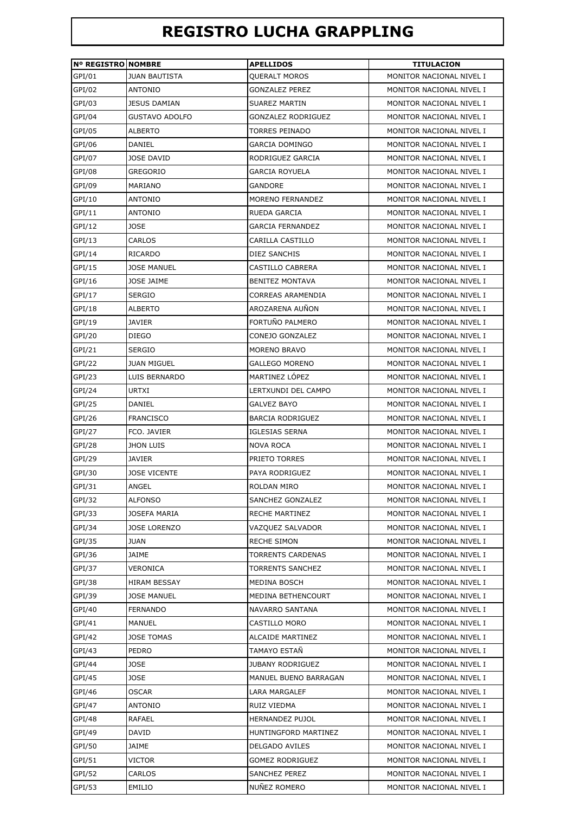## **REGISTRO LUCHA GRAPPLING**

| <b>Nº REGISTRO NOMBRE</b><br>GPI/01 | <b>JUAN BAUTISTA</b> | <b>APELLIDOS</b><br>QUERALT MOROS | <b>TITULACION</b><br>MONITOR NACIONAL NIVEL I |
|-------------------------------------|----------------------|-----------------------------------|-----------------------------------------------|
| GPI/02                              | ANTONIO              | <b>GONZALEZ PEREZ</b>             | MONITOR NACIONAL NIVEL I                      |
|                                     | <b>JESUS DAMIAN</b>  |                                   | MONITOR NACIONAL NIVEL I                      |
| GPI/03                              |                      | SUAREZ MARTIN                     | MONITOR NACIONAL NIVEL I                      |
| GPI/04                              | GUSTAVO ADOLFO       | <b>GONZALEZ RODRIGUEZ</b>         |                                               |
| GPI/05                              | ALBERTO              | TORRES PEINADO                    | MONITOR NACIONAL NIVEL I                      |
| GPI/06                              | DANIEL               | <b>GARCIA DOMINGO</b>             | MONITOR NACIONAL NIVEL I                      |
| GPI/07                              | <b>JOSE DAVID</b>    | RODRIGUEZ GARCIA                  | MONITOR NACIONAL NIVEL I                      |
| GPI/08                              | <b>GREGORIO</b>      | <b>GARCIA ROYUELA</b>             | MONITOR NACIONAL NIVEL I                      |
| GPI/09                              | MARIANO              | <b>GANDORE</b>                    | MONITOR NACIONAL NIVEL I                      |
| GPI/10                              | ANTONIO              | MORENO FERNANDEZ                  | MONITOR NACIONAL NIVEL I                      |
| GPI/11                              | <b>ANTONIO</b>       | RUEDA GARCIA                      | MONITOR NACIONAL NIVEL I                      |
| GPI/12                              | <b>JOSE</b>          | <b>GARCIA FERNANDEZ</b>           | MONITOR NACIONAL NIVEL I                      |
| GPI/13                              | CARLOS               | CARILLA CASTILLO                  | MONITOR NACIONAL NIVEL I                      |
| GPI/14                              | RICARDO              | DIEZ SANCHIS                      | MONITOR NACIONAL NIVEL I                      |
| GPI/15                              | <b>JOSE MANUEL</b>   | CASTILLO CABRERA                  | MONITOR NACIONAL NIVEL I                      |
| GPI/16                              | JOSE JAIME           | <b>BENITEZ MONTAVA</b>            | MONITOR NACIONAL NIVEL I                      |
| GPI/17                              | <b>SERGIO</b>        | <b>CORREAS ARAMENDIA</b>          | MONITOR NACIONAL NIVEL I                      |
| GPI/18                              | <b>ALBERTO</b>       | AROZARENA AUÑON                   | MONITOR NACIONAL NIVEL I                      |
| GPI/19                              | <b>JAVIER</b>        | FORTUÑO PALMERO                   | MONITOR NACIONAL NIVEL I                      |
| GPI/20                              | <b>DIEGO</b>         | CONEJO GONZALEZ                   | MONITOR NACIONAL NIVEL I                      |
| GPI/21                              | SERGIO               | MORENO BRAVO                      | MONITOR NACIONAL NIVEL I                      |
| GPI/22                              | <b>JUAN MIGUEL</b>   | <b>GALLEGO MORENO</b>             | MONITOR NACIONAL NIVEL I                      |
| GPI/23                              | LUIS BERNARDO        | MARTINEZ LÓPEZ                    | MONITOR NACIONAL NIVEL I                      |
| GPI/24                              | URTXI                | LERTXUNDI DEL CAMPO               | MONITOR NACIONAL NIVEL I                      |
| GPI/25                              | DANIEL               | <b>GALVEZ BAYO</b>                | MONITOR NACIONAL NIVEL I                      |
| GPI/26                              | <b>FRANCISCO</b>     | <b>BARCIA RODRIGUEZ</b>           | MONITOR NACIONAL NIVEL I                      |
| GPI/27                              | FCO. JAVIER          | <b>IGLESIAS SERNA</b>             | MONITOR NACIONAL NIVEL I                      |
| GPI/28                              | <b>JHON LUIS</b>     | <b>NOVA ROCA</b>                  | MONITOR NACIONAL NIVEL I                      |
| GPI/29                              | <b>JAVIER</b>        | PRIETO TORRES                     | MONITOR NACIONAL NIVEL I                      |
| GPI/30                              | <b>JOSE VICENTE</b>  | PAYA RODRIGUEZ                    | MONITOR NACIONAL NIVEL I                      |
| GPI/31                              | ANGEL                | ROLDAN MIRO                       | MONITOR NACIONAL NIVEL I                      |
| GPI/32                              | ALFONSO              | SANCHEZ GONZALEZ                  | MONITOR NACIONAL NIVEL I                      |
| GPI/33                              | JOSEFA MARIA         | RECHE MARTINEZ                    | MONITOR NACIONAL NIVEL I                      |
| GPI/34                              | <b>JOSE LORENZO</b>  | VAZQUEZ SALVADOR                  | MONITOR NACIONAL NIVEL I                      |
| GPI/35                              | JUAN                 | <b>RECHE SIMON</b>                | MONITOR NACIONAL NIVEL I                      |
| GPI/36                              | JAIME                | <b>TORRENTS CARDENAS</b>          | MONITOR NACIONAL NIVEL I                      |
| GPI/37                              | VERONICA             | TORRENTS SANCHEZ                  |                                               |
|                                     |                      | MEDINA BOSCH                      | MONITOR NACIONAL NIVEL I                      |
| GPI/38                              | HIRAM BESSAY         |                                   | MONITOR NACIONAL NIVEL I                      |
| GPI/39                              | <b>JOSE MANUEL</b>   | MEDINA BETHENCOURT                | MONITOR NACIONAL NIVEL I                      |
| GPI/40                              | FERNANDO             | NAVARRO SANTANA                   | MONITOR NACIONAL NIVEL I                      |
| GPI/41                              | MANUEL               | CASTILLO MORO                     | MONITOR NACIONAL NIVEL I                      |
| GPI/42                              | JOSE TOMAS           | ALCAIDE MARTINEZ                  | MONITOR NACIONAL NIVEL I                      |
| GPI/43                              | PEDRO                | TAMAYO ESTAÑ                      | MONITOR NACIONAL NIVEL I                      |
| GPI/44                              | JOSE                 | <b>JUBANY RODRIGUEZ</b>           | MONITOR NACIONAL NIVEL I                      |
| GPI/45                              | JOSE                 | MANUEL BUENO BARRAGAN             | MONITOR NACIONAL NIVEL I                      |
| GPI/46                              | OSCAR                | LARA MARGALEF                     | MONITOR NACIONAL NIVEL I                      |
| GPI/47                              | <b>ANTONIO</b>       | RUIZ VIEDMA                       | MONITOR NACIONAL NIVEL I                      |
| GPI/48                              | RAFAEL               | <b>HERNANDEZ PUJOL</b>            | MONITOR NACIONAL NIVEL I                      |
| GPI/49                              | DAVID                | HUNTINGFORD MARTINEZ              | MONITOR NACIONAL NIVEL I                      |
| GPI/50                              | JAIME                | <b>DELGADO AVILES</b>             | MONITOR NACIONAL NIVEL I                      |
| GPI/51                              | VICTOR               | <b>GOMEZ RODRIGUEZ</b>            | MONITOR NACIONAL NIVEL I                      |
| GPI/52                              | CARLOS               | <b>SANCHEZ PEREZ</b>              | MONITOR NACIONAL NIVEL I                      |
| GPI/53                              | EMILIO               | NUÑEZ ROMERO                      | MONITOR NACIONAL NIVEL I                      |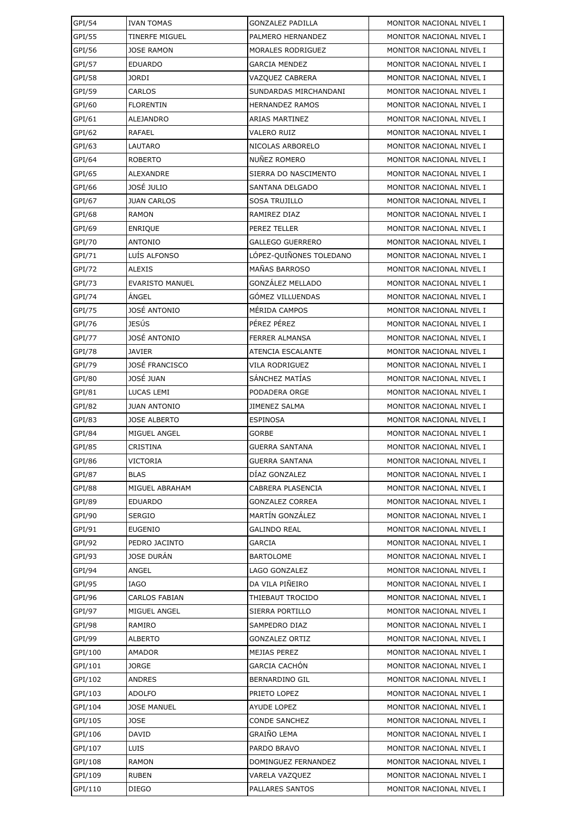| GPI/54  | <b>IVAN TOMAS</b>      | <b>GONZALEZ PADILLA</b> | MONITOR NACIONAL NIVEL I |
|---------|------------------------|-------------------------|--------------------------|
| GPI/55  | <b>TINERFE MIGUEL</b>  | PALMERO HERNANDEZ       | MONITOR NACIONAL NIVEL I |
| GPI/56  | <b>JOSE RAMON</b>      | MORALES RODRIGUEZ       | MONITOR NACIONAL NIVEL I |
| GPI/57  | <b>EDUARDO</b>         | <b>GARCIA MENDEZ</b>    | MONITOR NACIONAL NIVEL I |
| GPI/58  | <b>JORDI</b>           | VAZQUEZ CABRERA         | MONITOR NACIONAL NIVEL I |
| GPI/59  | CARLOS                 | SUNDARDAS MIRCHANDANI   | MONITOR NACIONAL NIVEL I |
| GPI/60  | <b>FLORENTIN</b>       | <b>HERNANDEZ RAMOS</b>  | MONITOR NACIONAL NIVEL I |
| GPI/61  | ALEJANDRO              | ARIAS MARTINEZ          | MONITOR NACIONAL NIVEL I |
| GPI/62  | RAFAEL                 | <b>VALERO RUIZ</b>      | MONITOR NACIONAL NIVEL I |
| GPI/63  | LAUTARO                | NICOLAS ARBORELO        | MONITOR NACIONAL NIVEL I |
| GPI/64  | <b>ROBERTO</b>         | NUÑEZ ROMERO            | MONITOR NACIONAL NIVEL I |
| GPI/65  | ALEXANDRE              | SIERRA DO NASCIMENTO    | MONITOR NACIONAL NIVEL I |
| GPI/66  | JOSÉ JULIO             | SANTANA DELGADO         | MONITOR NACIONAL NIVEL I |
| GPI/67  | <b>JUAN CARLOS</b>     | <b>SOSA TRUJILLO</b>    | MONITOR NACIONAL NIVEL I |
| GPI/68  | <b>RAMON</b>           | RAMIREZ DIAZ            | MONITOR NACIONAL NIVEL I |
| GPI/69  | <b>ENRIQUE</b>         | PEREZ TELLER            | MONITOR NACIONAL NIVEL I |
| GPI/70  | <b>ANTONIO</b>         | <b>GALLEGO GUERRERO</b> | MONITOR NACIONAL NIVEL I |
| GPI/71  | LUÍS ALFONSO           | LÓPEZ-OUIÑONES TOLEDANO | MONITOR NACIONAL NIVEL I |
| GPI/72  | <b>ALEXIS</b>          | MAÑAS BARROSO           | MONITOR NACIONAL NIVEL I |
| GPI/73  | <b>EVARISTO MANUEL</b> | GONZÁLEZ MELLADO        | MONITOR NACIONAL NIVEL I |
| GPI/74  | ÁNGEL                  | GÓMEZ VILLUENDAS        | MONITOR NACIONAL NIVEL I |
| GPI/75  | JOSÉ ANTONIO           | MÉRIDA CAMPOS           | MONITOR NACIONAL NIVEL I |
| GPI/76  | JESÚS                  | PÉREZ PÉREZ             | MONITOR NACIONAL NIVEL I |
| GPI/77  | JOSÉ ANTONIO           | <b>FERRER ALMANSA</b>   | MONITOR NACIONAL NIVEL I |
| GPI/78  | <b>JAVIER</b>          | ATENCIA ESCALANTE       | MONITOR NACIONAL NIVEL I |
| GPI/79  | <b>JOSÉ FRANCISCO</b>  | VILA RODRIGUEZ          | MONITOR NACIONAL NIVEL I |
| GPI/80  | JOSÉ JUAN              | SÁNCHEZ MATÍAS          | MONITOR NACIONAL NIVEL I |
| GPI/81  | LUCAS LEMI             | PODADERA ORGE           | MONITOR NACIONAL NIVEL I |
| GPI/82  | <b>JUAN ANTONIO</b>    | <b>JIMENEZ SALMA</b>    | MONITOR NACIONAL NIVEL I |
| GPI/83  | <b>JOSE ALBERTO</b>    | <b>ESPINOSA</b>         | MONITOR NACIONAL NIVEL I |
| GPI/84  | MIGUEL ANGEL           | <b>GORBE</b>            | MONITOR NACIONAL NIVEL I |
| GPI/85  | <b>CRISTINA</b>        | <b>GUERRA SANTANA</b>   | MONITOR NACIONAL NIVEL I |
| GPI/86  | <b>VICTORIA</b>        | <b>GUERRA SANTANA</b>   | MONITOR NACIONAL NIVEL I |
| GPI/87  | <b>BLAS</b>            | DIAZ GONZALEZ           | MONITOR NACIONAL NIVEL I |
| GPI/88  | MIGUEL ABRAHAM         | CABRERA PLASENCIA       | MONITOR NACIONAL NIVEL I |
| GPI/89  | <b>EDUARDO</b>         | <b>GONZALEZ CORREA</b>  | MONITOR NACIONAL NIVEL I |
| GPI/90  | <b>SERGIO</b>          | MARTÍN GONZÁLEZ         | MONITOR NACIONAL NIVEL I |
| GPI/91  | <b>EUGENIO</b>         | <b>GALINDO REAL</b>     | MONITOR NACIONAL NIVEL I |
| GPI/92  | PEDRO JACINTO          | GARCIA                  | MONITOR NACIONAL NIVEL I |
| GPI/93  | <b>JOSE DURÁN</b>      | <b>BARTOLOME</b>        | MONITOR NACIONAL NIVEL I |
| GPI/94  | ANGEL                  | LAGO GONZALEZ           | MONITOR NACIONAL NIVEL I |
| GPI/95  | <b>IAGO</b>            | DA VILA PIÑEIRO         | MONITOR NACIONAL NIVEL I |
| GPI/96  | <b>CARLOS FABIAN</b>   | THIEBAUT TROCIDO        | MONITOR NACIONAL NIVEL I |
| GPI/97  | MIGUEL ANGEL           | SIERRA PORTILLO         | MONITOR NACIONAL NIVEL I |
| GPI/98  | RAMIRO                 | SAMPEDRO DIAZ           | MONITOR NACIONAL NIVEL I |
| GPI/99  | <b>ALBERTO</b>         | GONZALEZ ORTIZ          | MONITOR NACIONAL NIVEL I |
| GPI/100 | <b>AMADOR</b>          | MEJIAS PEREZ            | MONITOR NACIONAL NIVEL I |
| GPI/101 | <b>JORGE</b>           | <b>GARCIA CACHÓN</b>    | MONITOR NACIONAL NIVEL I |
| GPI/102 | <b>ANDRES</b>          | BERNARDINO GIL          | MONITOR NACIONAL NIVEL I |
| GPI/103 | <b>ADOLFO</b>          | PRIETO LOPEZ            | MONITOR NACIONAL NIVEL I |
| GPI/104 | <b>JOSE MANUEL</b>     | <b>AYUDE LOPEZ</b>      | MONITOR NACIONAL NIVEL I |
| GPI/105 | <b>JOSE</b>            | <b>CONDE SANCHEZ</b>    | MONITOR NACIONAL NIVEL I |
| GPI/106 | DAVID                  | GRAIÑO LEMA             | MONITOR NACIONAL NIVEL I |
| GPI/107 | LUIS                   | PARDO BRAVO             | MONITOR NACIONAL NIVEL I |
| GPI/108 | RAMON                  | DOMINGUEZ FERNANDEZ     | MONITOR NACIONAL NIVEL I |
| GPI/109 | <b>RUBEN</b>           | VARELA VAZQUEZ          | MONITOR NACIONAL NIVEL I |
| GPI/110 | <b>DIEGO</b>           | PALLARES SANTOS         | MONITOR NACIONAL NIVEL I |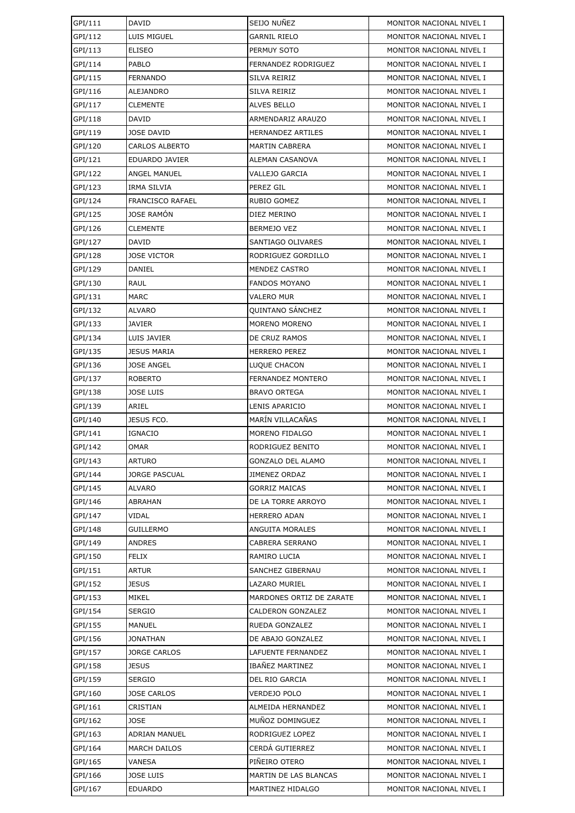| GPI/111 | DAVID                   | SEIJO NUÑEZ              | MONITOR NACIONAL NIVEL I |
|---------|-------------------------|--------------------------|--------------------------|
| GPI/112 | LUIS MIGUEL             | <b>GARNIL RIELO</b>      | MONITOR NACIONAL NIVEL I |
| GPI/113 | <b>ELISEO</b>           | PERMUY SOTO              | MONITOR NACIONAL NIVEL I |
| GPI/114 | PABLO                   | FERNANDEZ RODRIGUEZ      | MONITOR NACIONAL NIVEL I |
| GPI/115 | <b>FERNANDO</b>         | SILVA REIRIZ             | MONITOR NACIONAL NIVEL I |
| GPI/116 | ALEJANDRO               | SILVA REIRIZ             | MONITOR NACIONAL NIVEL I |
| GPI/117 | <b>CLEMENTE</b>         | ALVES BELLO              | MONITOR NACIONAL NIVEL I |
| GPI/118 | DAVID                   | ARMENDARIZ ARAUZO        | MONITOR NACIONAL NIVEL I |
| GPI/119 | <b>JOSE DAVID</b>       | <b>HERNANDEZ ARTILES</b> | MONITOR NACIONAL NIVEL I |
| GPI/120 | <b>CARLOS ALBERTO</b>   | <b>MARTIN CABRERA</b>    | MONITOR NACIONAL NIVEL I |
| GPI/121 | EDUARDO JAVIER          | ALEMAN CASANOVA          | MONITOR NACIONAL NIVEL I |
| GPI/122 | ANGEL MANUEL            | VALLEJO GARCIA           | MONITOR NACIONAL NIVEL I |
| GPI/123 | IRMA SILVIA             | PEREZ GIL                | MONITOR NACIONAL NIVEL I |
| GPI/124 | <b>FRANCISCO RAFAEL</b> | <b>RUBIO GOMEZ</b>       | MONITOR NACIONAL NIVEL I |
| GPI/125 | <b>JOSE RAMÓN</b>       | DIEZ MERINO              | MONITOR NACIONAL NIVEL I |
| GPI/126 | <b>CLEMENTE</b>         | <b>BERMEJO VEZ</b>       | MONITOR NACIONAL NIVEL I |
| GPI/127 | DAVID                   | SANTIAGO OLIVARES        | MONITOR NACIONAL NIVEL I |
| GPI/128 | <b>JOSE VICTOR</b>      | RODRIGUEZ GORDILLO       | MONITOR NACIONAL NIVEL I |
| GPI/129 | DANIEL                  | MENDEZ CASTRO            | MONITOR NACIONAL NIVEL I |
| GPI/130 | <b>RAUL</b>             | <b>FANDOS MOYANO</b>     | MONITOR NACIONAL NIVEL I |
| GPI/131 | <b>MARC</b>             | <b>VALERO MUR</b>        | MONITOR NACIONAL NIVEL I |
| GPI/132 | ALVARO                  | <b>QUINTANO SÁNCHEZ</b>  | MONITOR NACIONAL NIVEL I |
| GPI/133 | JAVIER                  | MORENO MORENO            | MONITOR NACIONAL NIVEL I |
| GPI/134 | LUIS JAVIER             | DE CRUZ RAMOS            | MONITOR NACIONAL NIVEL I |
| GPI/135 | <b>JESUS MARIA</b>      | <b>HERRERO PEREZ</b>     | MONITOR NACIONAL NIVEL I |
| GPI/136 | <b>JOSE ANGEL</b>       | LUQUE CHACON             | MONITOR NACIONAL NIVEL I |
| GPI/137 | <b>ROBERTO</b>          | FERNANDEZ MONTERO        | MONITOR NACIONAL NIVEL I |
| GPI/138 | <b>JOSE LUIS</b>        | <b>BRAVO ORTEGA</b>      | MONITOR NACIONAL NIVEL I |
| GPI/139 | ARIEL                   | LENIS APARICIO           | MONITOR NACIONAL NIVEL I |
| GPI/140 | JESUS FCO.              | MARÍN VILLACAÑAS         | MONITOR NACIONAL NIVEL I |
| GPI/141 | <b>IGNACIO</b>          | MORENO FIDALGO           | MONITOR NACIONAL NIVEL I |
| GPI/142 | <b>OMAR</b>             | RODRIGUEZ BENITO         | MONITOR NACIONAL NIVEL I |
| GPI/143 | <b>ARTURO</b>           | GONZALO DEL ALAMO        | MONITOR NACIONAL NIVEL I |
| GPI/144 | <b>JORGE PASCUAL</b>    | <b>JIMENEZ ORDAZ</b>     | MONITOR NACIONAL NIVEL I |
| GPI/145 | ALVARO                  | <b>GORRIZ MAICAS</b>     | MONITOR NACIONAL NIVEL I |
| GPI/146 | <b>ABRAHAN</b>          | DE LA TORRE ARROYO       | MONITOR NACIONAL NIVEL I |
| GPI/147 | <b>VIDAL</b>            | <b>HERRERO ADAN</b>      | MONITOR NACIONAL NIVEL I |
| GPI/148 | <b>GUILLERMO</b>        | ANGUITA MORALES          | MONITOR NACIONAL NIVEL I |
| GPI/149 | <b>ANDRES</b>           | CABRERA SERRANO          | MONITOR NACIONAL NIVEL I |
| GPI/150 | <b>FELIX</b>            | RAMIRO LUCIA             | MONITOR NACIONAL NIVEL I |
| GPI/151 | <b>ARTUR</b>            | SANCHEZ GIBERNAU         | MONITOR NACIONAL NIVEL I |
| GPI/152 | <b>JESUS</b>            | LAZARO MURIEL            | MONITOR NACIONAL NIVEL I |
| GPI/153 | MIKEL                   | MARDONES ORTIZ DE ZARATE | MONITOR NACIONAL NIVEL I |
| GPI/154 | <b>SERGIO</b>           | CALDERON GONZALEZ        | MONITOR NACIONAL NIVEL I |
| GPI/155 | MANUEL                  | RUEDA GONZALEZ           | MONITOR NACIONAL NIVEL I |
| GPI/156 | <b>JONATHAN</b>         | DE ABAJO GONZALEZ        | MONITOR NACIONAL NIVEL I |
| GPI/157 | <b>JORGE CARLOS</b>     | LAFUENTE FERNANDEZ       | MONITOR NACIONAL NIVEL I |
| GPI/158 | <b>JESUS</b>            | <b>IBAÑEZ MARTINEZ</b>   | MONITOR NACIONAL NIVEL I |
| GPI/159 | <b>SERGIO</b>           | DEL RIO GARCIA           | MONITOR NACIONAL NIVEL I |
| GPI/160 | <b>JOSE CARLOS</b>      | <b>VERDEJO POLO</b>      | MONITOR NACIONAL NIVEL I |
| GPI/161 | CRISTIAN                | ALMEIDA HERNANDEZ        | MONITOR NACIONAL NIVEL I |
| GPI/162 | <b>JOSE</b>             | MUÑOZ DOMINGUEZ          | MONITOR NACIONAL NIVEL I |
| GPI/163 | ADRIAN MANUEL           | RODRIGUEZ LOPEZ          | MONITOR NACIONAL NIVEL I |
| GPI/164 | <b>MARCH DAILOS</b>     | CERDA GUTIERREZ          | MONITOR NACIONAL NIVEL I |
| GPI/165 | <b>VANESA</b>           | PIÑEIRO OTERO            | MONITOR NACIONAL NIVEL I |
| GPI/166 | <b>JOSE LUIS</b>        | MARTIN DE LAS BLANCAS    | MONITOR NACIONAL NIVEL I |
| GPI/167 | <b>EDUARDO</b>          | MARTINEZ HIDALGO         | MONITOR NACIONAL NIVEL I |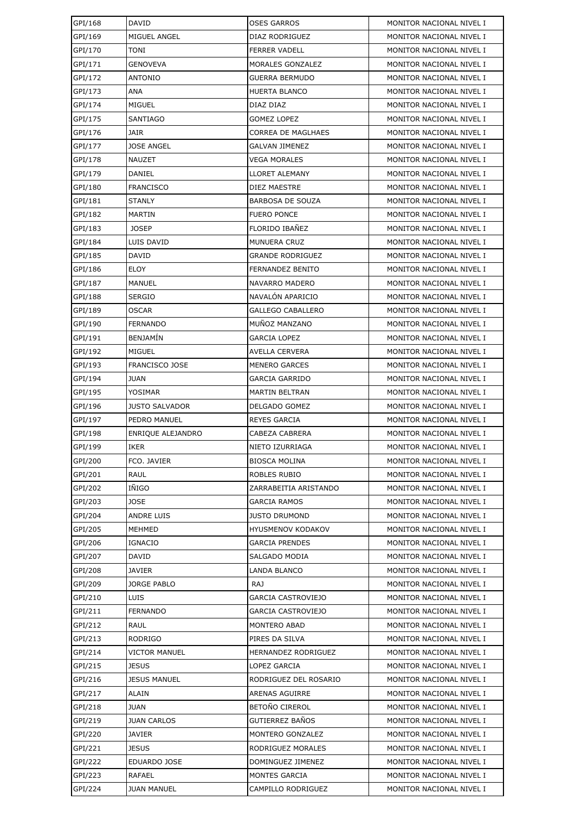| GPI/168 | DAVID                    | <b>OSES GARROS</b>       | MONITOR NACIONAL NIVEL I |
|---------|--------------------------|--------------------------|--------------------------|
| GPI/169 | MIGUEL ANGEL             | DIAZ RODRIGUEZ           | MONITOR NACIONAL NIVEL I |
| GPI/170 | TONI                     | <b>FERRER VADELL</b>     | MONITOR NACIONAL NIVEL I |
| GPI/171 | <b>GENOVEVA</b>          | MORALES GONZALEZ         | MONITOR NACIONAL NIVEL I |
| GPI/172 | <b>ANTONIO</b>           | GUERRA BERMUDO           | MONITOR NACIONAL NIVEL I |
| GPI/173 | ANA                      | HUERTA BLANCO            | MONITOR NACIONAL NIVEL I |
| GPI/174 | MIGUEL                   | DIAZ DIAZ                | MONITOR NACIONAL NIVEL I |
| GPI/175 | <b>SANTIAGO</b>          | <b>GOMEZ LOPEZ</b>       | MONITOR NACIONAL NIVEL I |
| GPI/176 | <b>JAIR</b>              | CORREA DE MAGLHAES       | MONITOR NACIONAL NIVEL I |
| GPI/177 | <b>JOSE ANGEL</b>        | <b>GALVAN JIMENEZ</b>    | MONITOR NACIONAL NIVEL I |
| GPI/178 | NAUZET                   | VEGA MORALES             | MONITOR NACIONAL NIVEL I |
| GPI/179 | DANIEL                   | LLORET ALEMANY           | MONITOR NACIONAL NIVEL I |
| GPI/180 | <b>FRANCISCO</b>         | DIEZ MAESTRE             | MONITOR NACIONAL NIVEL I |
| GPI/181 | <b>STANLY</b>            | <b>BARBOSA DE SOUZA</b>  | MONITOR NACIONAL NIVEL I |
| GPI/182 | <b>MARTIN</b>            | <b>FUERO PONCE</b>       | MONITOR NACIONAL NIVEL I |
| GPI/183 | <b>JOSEP</b>             | FLORIDO IBAÑEZ           | MONITOR NACIONAL NIVEL I |
| GPI/184 | LUIS DAVID               | <b>MUNUERA CRUZ</b>      | MONITOR NACIONAL NIVEL I |
| GPI/185 | <b>DAVID</b>             | GRANDE RODRIGUEZ         | MONITOR NACIONAL NIVEL I |
| GPI/186 | <b>ELOY</b>              | FERNANDEZ BENITO         | MONITOR NACIONAL NIVEL I |
| GPI/187 | MANUEL                   | NAVARRO MADERO           | MONITOR NACIONAL NIVEL I |
| GPI/188 | <b>SERGIO</b>            | NAVALÓN APARICIO         | MONITOR NACIONAL NIVEL I |
| GPI/189 | <b>OSCAR</b>             | <b>GALLEGO CABALLERO</b> | MONITOR NACIONAL NIVEL I |
| GPI/190 | <b>FERNANDO</b>          | MUÑOZ MANZANO            | MONITOR NACIONAL NIVEL I |
| GPI/191 | <b>BENJAMIN</b>          | GARCIA LOPEZ             | MONITOR NACIONAL NIVEL I |
| GPI/192 | <b>MIGUEL</b>            | AVELLA CERVERA           | MONITOR NACIONAL NIVEL I |
| GPI/193 | <b>FRANCISCO JOSE</b>    | <b>MENERO GARCES</b>     | MONITOR NACIONAL NIVEL I |
| GPI/194 | <b>JUAN</b>              | GARCIA GARRIDO           | MONITOR NACIONAL NIVEL I |
| GPI/195 | YOSIMAR                  | <b>MARTIN BELTRAN</b>    | MONITOR NACIONAL NIVEL I |
| GPI/196 | <b>JUSTO SALVADOR</b>    | DELGADO GOMEZ            | MONITOR NACIONAL NIVEL I |
| GPI/197 | PEDRO MANUEL             | <b>REYES GARCIA</b>      | MONITOR NACIONAL NIVEL I |
| GPI/198 | <b>ENRIQUE ALEJANDRO</b> | CABEZA CABRERA           | MONITOR NACIONAL NIVEL I |
| GPI/199 | <b>IKER</b>              | NIETO IZURRIAGA          | MONITOR NACIONAL NIVEL I |
| GPI/200 | FCO. JAVIER              | <b>BIOSCA MOLINA</b>     | MONITOR NACIONAL NIVEL I |
| GPI/201 | RAUL                     | ROBLES RUBIO             | MONITOR NACIONAL NIVEL I |
| GPI/202 | IÑIGO                    | ZARRABEITIA ARISTANDO    | MONITOR NACIONAL NIVEL I |
| GPI/203 | <b>JOSE</b>              | GARCIA RAMOS             | MONITOR NACIONAL NIVEL I |
| GPI/204 | <b>ANDRE LUIS</b>        | <b>JUSTO DRUMOND</b>     | MONITOR NACIONAL NIVEL I |
| GPI/205 | MEHMED                   | <b>HYUSMENOV KODAKOV</b> | MONITOR NACIONAL NIVEL I |
| GPI/206 | <b>IGNACIO</b>           | <b>GARCIA PRENDES</b>    | MONITOR NACIONAL NIVEL I |
| GPI/207 | DAVID                    | SALGADO MODIA            | MONITOR NACIONAL NIVEL I |
| GPI/208 | JAVIER                   | LANDA BLANCO             | MONITOR NACIONAL NIVEL I |
| GPI/209 | <b>JORGE PABLO</b>       | RAJ                      | MONITOR NACIONAL NIVEL I |
| GPI/210 | LUIS                     | GARCIA CASTROVIEJO       | MONITOR NACIONAL NIVEL I |
| GPI/211 | <b>FERNANDO</b>          | GARCIA CASTROVIEJO       | MONITOR NACIONAL NIVEL I |
| GPI/212 | RAUL                     | MONTERO ABAD             | MONITOR NACIONAL NIVEL I |
| GPI/213 | <b>RODRIGO</b>           | PIRES DA SILVA           | MONITOR NACIONAL NIVEL I |
| GPI/214 | <b>VICTOR MANUEL</b>     | HERNANDEZ RODRIGUEZ      | MONITOR NACIONAL NIVEL I |
| GPI/215 | <b>JESUS</b>             | LOPEZ GARCIA             | MONITOR NACIONAL NIVEL I |
| GPI/216 | <b>JESUS MANUEL</b>      | RODRIGUEZ DEL ROSARIO    | MONITOR NACIONAL NIVEL I |
| GPI/217 | ALAIN                    | ARENAS AGUIRRE           | MONITOR NACIONAL NIVEL I |
| GPI/218 | JUAN                     | BETOÑO CIREROL           | MONITOR NACIONAL NIVEL I |
| GPI/219 | <b>JUAN CARLOS</b>       | GUTIERREZ BAÑOS          | MONITOR NACIONAL NIVEL I |
| GPI/220 | <b>JAVIER</b>            | MONTERO GONZALEZ         | MONITOR NACIONAL NIVEL I |
| GPI/221 | JESUS                    | RODRIGUEZ MORALES        | MONITOR NACIONAL NIVEL I |
| GPI/222 | EDUARDO JOSE             | DOMINGUEZ JIMENEZ        | MONITOR NACIONAL NIVEL I |
| GPI/223 | RAFAEL                   | <b>MONTES GARCIA</b>     | MONITOR NACIONAL NIVEL I |
| GPI/224 | <b>JUAN MANUEL</b>       | CAMPILLO RODRIGUEZ       | MONITOR NACIONAL NIVEL I |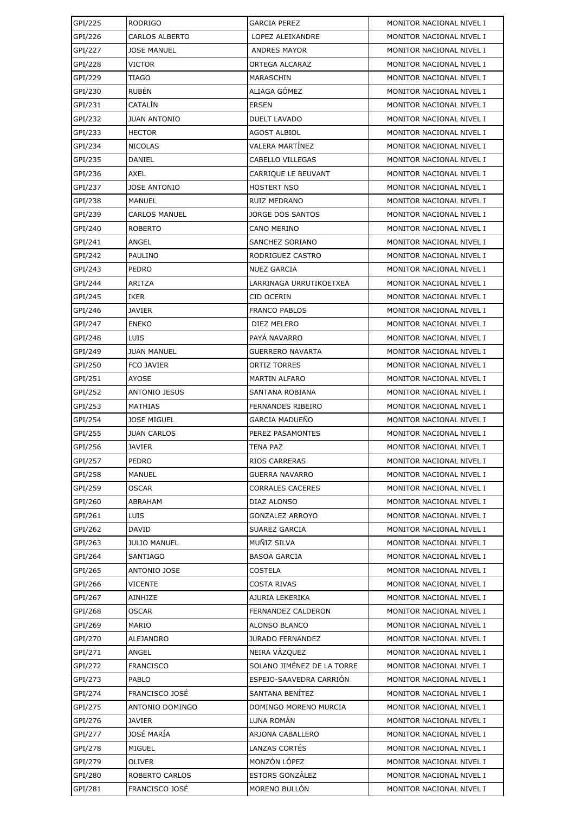| GPI/225 | <b>RODRIGO</b>        | <b>GARCIA PEREZ</b>        | MONITOR NACIONAL NIVEL I |
|---------|-----------------------|----------------------------|--------------------------|
| GPI/226 | <b>CARLOS ALBERTO</b> | LOPEZ ALEIXANDRE           | MONITOR NACIONAL NIVEL I |
| GPI/227 | <b>JOSE MANUEL</b>    | <b>ANDRES MAYOR</b>        | MONITOR NACIONAL NIVEL I |
| GPI/228 | <b>VICTOR</b>         | ORTEGA ALCARAZ             | MONITOR NACIONAL NIVEL I |
| GPI/229 | TIAGO                 | MARASCHIN                  | MONITOR NACIONAL NIVEL I |
| GPI/230 | <b>RUBÉN</b>          | ALIAGA GÓMEZ               | MONITOR NACIONAL NIVEL I |
| GPI/231 | CATALÍN               | <b>ERSEN</b>               | MONITOR NACIONAL NIVEL I |
| GPI/232 | <b>JUAN ANTONIO</b>   | <b>DUELT LAVADO</b>        | MONITOR NACIONAL NIVEL I |
| GPI/233 | <b>HECTOR</b>         | <b>AGOST ALBIOL</b>        | MONITOR NACIONAL NIVEL I |
| GPI/234 | <b>NICOLAS</b>        | VALERA MARTÍNEZ            | MONITOR NACIONAL NIVEL I |
| GPI/235 | DANIEL                | CABELLO VILLEGAS           | MONITOR NACIONAL NIVEL I |
| GPI/236 | AXEL                  | CARRIQUE LE BEUVANT        | MONITOR NACIONAL NIVEL I |
| GPI/237 | <b>JOSE ANTONIO</b>   | <b>HOSTERT NSO</b>         | MONITOR NACIONAL NIVEL I |
| GPI/238 | <b>MANUEL</b>         | RUIZ MEDRANO               | MONITOR NACIONAL NIVEL I |
| GPI/239 | <b>CARLOS MANUEL</b>  | JORGE DOS SANTOS           | MONITOR NACIONAL NIVEL I |
| GPI/240 | <b>ROBERTO</b>        | CANO MERINO                | MONITOR NACIONAL NIVEL I |
| GPI/241 | ANGEL                 | SANCHEZ SORIANO            | MONITOR NACIONAL NIVEL I |
| GPI/242 | PAULINO               | RODRIGUEZ CASTRO           | MONITOR NACIONAL NIVEL I |
| GPI/243 | PEDRO                 | <b>NUEZ GARCIA</b>         | MONITOR NACIONAL NIVEL I |
| GPI/244 | <b>ARITZA</b>         | LARRINAGA URRUTIKOETXEA    | MONITOR NACIONAL NIVEL I |
| GPI/245 | IKER                  | CID OCERIN                 | MONITOR NACIONAL NIVEL I |
| GPI/246 | <b>JAVIER</b>         | <b>FRANCO PABLOS</b>       | MONITOR NACIONAL NIVEL I |
| GPI/247 | <b>ENEKO</b>          | DIEZ MELERO                | MONITOR NACIONAL NIVEL I |
| GPI/248 | LUIS                  | PAYA NAVARRO               | MONITOR NACIONAL NIVEL I |
| GPI/249 | <b>JUAN MANUEL</b>    | GUERRERO NAVARTA           | MONITOR NACIONAL NIVEL I |
| GPI/250 | <b>FCO JAVIER</b>     | ORTIZ TORRES               | MONITOR NACIONAL NIVEL I |
| GPI/251 | AYOSE                 | <b>MARTIN ALFARO</b>       | MONITOR NACIONAL NIVEL I |
| GPI/252 | <b>ANTONIO JESUS</b>  | <b>SANTANA ROBIANA</b>     | MONITOR NACIONAL NIVEL I |
| GPI/253 | <b>MATHIAS</b>        | FERNANDES RIBEIRO          | MONITOR NACIONAL NIVEL I |
| GPI/254 | <b>JOSE MIGUEL</b>    | <b>GARCIA MADUEÑO</b>      | MONITOR NACIONAL NIVEL I |
| GPI/255 | <b>JUAN CARLOS</b>    | PEREZ PASAMONTES           | MONITOR NACIONAL NIVEL I |
| GPI/256 | <b>JAVIER</b>         | <b>TENA PAZ</b>            | MONITOR NACIONAL NIVEL I |
| GPI/257 | PEDRO                 | RIOS CARRERAS              | MONITOR NACIONAL NIVEL I |
| GPI/258 | <b>MANUEL</b>         | <b>GUERRA NAVARRO</b>      | MONITOR NACIONAL NIVEL I |
| GPI/259 | <b>OSCAR</b>          | <b>CORRALES CACERES</b>    | MONITOR NACIONAL NIVEL I |
| GPI/260 | ABRAHAM               | DIAZ ALONSO                | MONITOR NACIONAL NIVEL I |
| GPI/261 | LUIS                  | <b>GONZALEZ ARROYO</b>     | MONITOR NACIONAL NIVEL I |
| GPI/262 | DAVID                 | SUAREZ GARCIA              | MONITOR NACIONAL NIVEL I |
| GPI/263 | <b>JULIO MANUEL</b>   | MUÑIZ SILVA                | MONITOR NACIONAL NIVEL I |
| GPI/264 | SANTIAGO              | <b>BASOA GARCIA</b>        | MONITOR NACIONAL NIVEL I |
| GPI/265 | ANTONIO JOSE          | COSTELA                    | MONITOR NACIONAL NIVEL I |
| GPI/266 | <b>VICENTE</b>        | COSTA RIVAS                | MONITOR NACIONAL NIVEL I |
| GPI/267 | AINHIZE               | AJURIA LEKERIKA            | MONITOR NACIONAL NIVEL I |
| GPI/268 | <b>OSCAR</b>          | FERNANDEZ CALDERON         | MONITOR NACIONAL NIVEL I |
| GPI/269 | MARIO                 | ALONSO BLANCO              | MONITOR NACIONAL NIVEL I |
| GPI/270 | ALEJANDRO             | <b>JURADO FERNANDEZ</b>    | MONITOR NACIONAL NIVEL I |
| GPI/271 | ANGEL                 | NEIRA VÁZQUEZ              | MONITOR NACIONAL NIVEL I |
| GPI/272 | <b>FRANCISCO</b>      | SOLANO JIMÉNEZ DE LA TORRE | MONITOR NACIONAL NIVEL I |
| GPI/273 | PABLO                 | ESPEJO-SAAVEDRA CARRION    | MONITOR NACIONAL NIVEL I |
| GPI/274 | FRANCISCO JOSÉ        | SANTANA BENÍTEZ            | MONITOR NACIONAL NIVEL I |
| GPI/275 | ANTONIO DOMINGO       | DOMINGO MORENO MURCIA      | MONITOR NACIONAL NIVEL I |
| GPI/276 | JAVIER                | LUNA ROMÁN                 | MONITOR NACIONAL NIVEL I |
| GPI/277 | JOSÉ MARÍA            | ARJONA CABALLERO           | MONITOR NACIONAL NIVEL I |
| GPI/278 | <b>MIGUEL</b>         | LANZAS CORTÉS              | MONITOR NACIONAL NIVEL I |
| GPI/279 | <b>OLIVER</b>         | MONZÓN LÓPEZ               | MONITOR NACIONAL NIVEL I |
| GPI/280 | ROBERTO CARLOS        | <b>ESTORS GONZÁLEZ</b>     | MONITOR NACIONAL NIVEL I |
| GPI/281 | FRANCISCO JOSÉ        | MORENO BULLÓN              | MONITOR NACIONAL NIVEL I |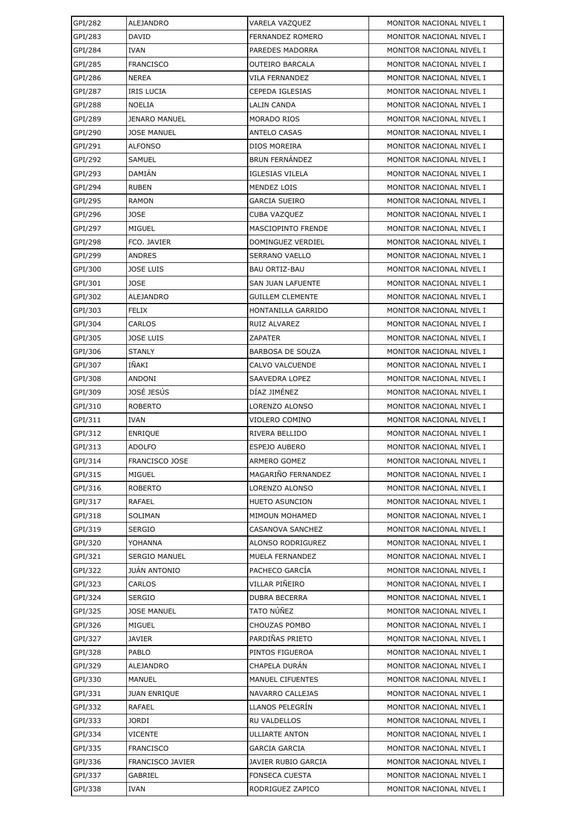| GPI/282            | ALEJANDRO                            | VARELA VAZQUEZ                        | MONITOR NACIONAL NIVEL I                             |
|--------------------|--------------------------------------|---------------------------------------|------------------------------------------------------|
| GPI/283            | DAVID                                | FERNANDEZ ROMERO                      | MONITOR NACIONAL NIVEL I                             |
| GPI/284            | IVAN                                 | PAREDES MADORRA                       | MONITOR NACIONAL NIVEL I                             |
| GPI/285            | <b>FRANCISCO</b>                     | OUTEIRO BARCALA                       | MONITOR NACIONAL NIVEL I                             |
| GPI/286            | <b>NEREA</b>                         | VILA FERNANDEZ                        | MONITOR NACIONAL NIVEL I                             |
| GPI/287            | <b>IRIS LUCIA</b>                    | CEPEDA IGLESIAS                       | MONITOR NACIONAL NIVEL I                             |
| GPI/288            | <b>NOELIA</b>                        | LALIN CANDA                           | MONITOR NACIONAL NIVEL I                             |
| GPI/289            | <b>JENARO MANUEL</b>                 | MORADO RIOS                           | MONITOR NACIONAL NIVEL I                             |
| GPI/290            | <b>JOSE MANUEL</b>                   | <b>ANTELO CASAS</b>                   | MONITOR NACIONAL NIVEL I                             |
| GPI/291            | <b>ALFONSO</b>                       | DIOS MOREIRA                          | MONITOR NACIONAL NIVEL I                             |
| GPI/292            | SAMUEL                               | <b>BRUN FERNÁNDEZ</b>                 | MONITOR NACIONAL NIVEL I                             |
| GPI/293            | DAMIÁN                               | <b>IGLESIAS VILELA</b>                | MONITOR NACIONAL NIVEL I                             |
| GPI/294            | <b>RUBEN</b>                         | MENDEZ LOIS                           | MONITOR NACIONAL NIVEL I                             |
| GPI/295            | <b>RAMON</b>                         | <b>GARCIA SUEIRO</b>                  | MONITOR NACIONAL NIVEL I                             |
| GPI/296            | <b>JOSE</b>                          | CUBA VAZQUEZ                          | MONITOR NACIONAL NIVEL I                             |
| GPI/297            | <b>MIGUEL</b>                        | MASCIOPINTO FRENDE                    | MONITOR NACIONAL NIVEL I                             |
| GPI/298            | FCO. JAVIER                          | DOMINGUEZ VERDIEL                     | MONITOR NACIONAL NIVEL I                             |
| GPI/299            | <b>ANDRES</b>                        | SERRANO VAELLO                        | MONITOR NACIONAL NIVEL I                             |
| GPI/300            | <b>JOSE LUIS</b>                     | <b>BAU ORTIZ-BAU</b>                  | MONITOR NACIONAL NIVEL I                             |
| GPI/301            | <b>JOSE</b>                          | <b>SAN JUAN LAFUENTE</b>              | MONITOR NACIONAL NIVEL I                             |
| GPI/302            | <b>ALEJANDRO</b>                     | <b>GUILLEM CLEMENTE</b>               | MONITOR NACIONAL NIVEL I                             |
| GPI/303            | <b>FELIX</b>                         | HONTANILLA GARRIDO                    | MONITOR NACIONAL NIVEL I                             |
| GPI/304            | CARLOS                               | RUIZ ALVAREZ                          | MONITOR NACIONAL NIVEL I                             |
| GPI/305            | <b>JOSE LUIS</b>                     | ZAPATER                               | MONITOR NACIONAL NIVEL I                             |
| GPI/306            | <b>STANLY</b>                        | <b>BARBOSA DE SOUZA</b>               | MONITOR NACIONAL NIVEL I                             |
| GPI/307            | IÑAKI                                | CALVO VALCUENDE                       | MONITOR NACIONAL NIVEL I                             |
| GPI/308            | ANDONI                               | SAAVEDRA LOPEZ                        | MONITOR NACIONAL NIVEL I                             |
| GPI/309            | JOSÉ JESÚS                           | DÍAZ JIMÉNEZ                          | MONITOR NACIONAL NIVEL I                             |
| GPI/310            | <b>ROBERTO</b>                       | LORENZO ALONSO                        | MONITOR NACIONAL NIVEL I                             |
| GPI/311            | <b>IVAN</b>                          | VIOLERO COMINO                        | MONITOR NACIONAL NIVEL I                             |
| GPI/312            | <b>ENRIQUE</b>                       | RIVERA BELLIDO                        | MONITOR NACIONAL NIVEL I                             |
| GPI/313            | <b>ADOLFO</b>                        | <b>ESPEJO AUBERO</b>                  | MONITOR NACIONAL NIVEL I                             |
| GPI/314            | FRANCISCO JOSE                       | <b>ARMERO GOMEZ</b>                   | MONITOR NACIONAL NIVEL I                             |
| GPI/315            | MIGUEL                               | MAGARIÑO FERNANDEZ                    | MONITOR NACIONAL NIVEL I                             |
| GPI/316            | <b>ROBERTO</b>                       | LORENZO ALONSO                        | MONITOR NACIONAL NIVEL I                             |
| GPI/317            | RAFAEL                               | <b>HUETO ASUNCION</b>                 | MONITOR NACIONAL NIVEL I                             |
| GPI/318            | <b>SOLIMAN</b>                       | MIMOUN MOHAMED                        | MONITOR NACIONAL NIVEL I                             |
| GPI/319            | <b>SERGIO</b>                        | CASANOVA SANCHEZ                      | MONITOR NACIONAL NIVEL I                             |
| GPI/320            | YOHANNA                              | ALONSO RODRIGUREZ                     | MONITOR NACIONAL NIVEL I                             |
| GPI/321            | <b>SERGIO MANUEL</b>                 | MUELA FERNANDEZ                       | MONITOR NACIONAL NIVEL I                             |
| GPI/322            | <b>JUÁN ANTONIO</b>                  | PACHECO GARCÍA                        | MONITOR NACIONAL NIVEL I                             |
| GPI/323            | CARLOS                               | VILLAR PIÑEIRO                        | MONITOR NACIONAL NIVEL I                             |
| GPI/324            | <b>SERGIO</b>                        | <b>DUBRA BECERRA</b>                  | MONITOR NACIONAL NIVEL I                             |
| GPI/325            | <b>JOSE MANUEL</b>                   | TATO NÚÑEZ                            | MONITOR NACIONAL NIVEL I                             |
| GPI/326            | MIGUEL                               | CHOUZAS POMBO                         | MONITOR NACIONAL NIVEL I                             |
| GPI/327            | <b>JAVIER</b>                        | PARDIÑAS PRIETO                       | MONITOR NACIONAL NIVEL I                             |
| GPI/328            | PABLO                                | PINTOS FIGUEROA                       | MONITOR NACIONAL NIVEL I                             |
| GPI/329            | <b>ALEJANDRO</b>                     | CHAPELA DURÁN                         | MONITOR NACIONAL NIVEL I                             |
| GPI/330<br>GPI/331 | <b>MANUEL</b><br><b>JUAN ENRIQUE</b> | MANUEL CIFUENTES<br>NAVARRO CALLEJAS  | MONITOR NACIONAL NIVEL I<br>MONITOR NACIONAL NIVEL I |
|                    |                                      |                                       |                                                      |
| GPI/332            | RAFAEL                               | LLANOS PELEGRÍN                       | MONITOR NACIONAL NIVEL I                             |
| GPI/333<br>GPI/334 | <b>JORDI</b><br><b>VICENTE</b>       | RU VALDELLOS<br><b>ULLIARTE ANTON</b> | MONITOR NACIONAL NIVEL I<br>MONITOR NACIONAL NIVEL I |
| GPI/335            | <b>FRANCISCO</b>                     | GARCIA GARCIA                         | MONITOR NACIONAL NIVEL I                             |
| GPI/336            | FRANCISCO JAVIER                     | JAVIER RUBIO GARCIA                   | MONITOR NACIONAL NIVEL I                             |
| GPI/337            | GABRIEL                              | <b>FONSECA CUESTA</b>                 | MONITOR NACIONAL NIVEL I                             |
| GPI/338            | <b>IVAN</b>                          | RODRIGUEZ ZAPICO                      | MONITOR NACIONAL NIVEL I                             |
|                    |                                      |                                       |                                                      |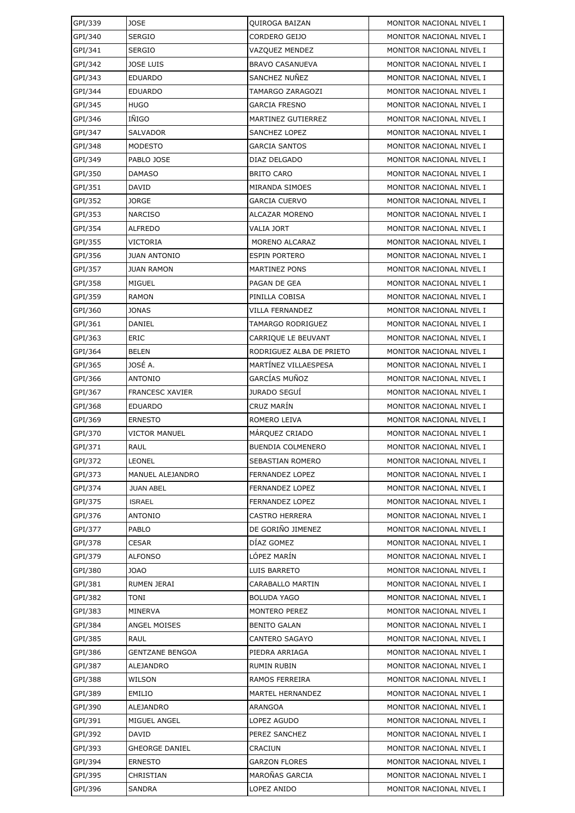| GPI/339 | <b>JOSE</b>            | QUIROGA BAIZAN           | MONITOR NACIONAL NIVEL I |
|---------|------------------------|--------------------------|--------------------------|
| GPI/340 | <b>SERGIO</b>          | CORDERO GEIJO            | MONITOR NACIONAL NIVEL I |
| GPI/341 | <b>SERGIO</b>          | <b>VAZQUEZ MENDEZ</b>    | MONITOR NACIONAL NIVEL I |
| GPI/342 | JOSE LUIS              | <b>BRAVO CASANUEVA</b>   | MONITOR NACIONAL NIVEL I |
| GPI/343 | <b>EDUARDO</b>         | SANCHEZ NUÑEZ            | MONITOR NACIONAL NIVEL I |
| GPI/344 | <b>EDUARDO</b>         | TAMARGO ZARAGOZI         | MONITOR NACIONAL NIVEL I |
| GPI/345 | HUGO                   | <b>GARCIA FRESNO</b>     | MONITOR NACIONAL NIVEL I |
| GPI/346 | IÑIGO                  | MARTINEZ GUTIERREZ       | MONITOR NACIONAL NIVEL I |
| GPI/347 | SALVADOR               | <b>SANCHEZ LOPEZ</b>     | MONITOR NACIONAL NIVEL I |
| GPI/348 | MODESTO                | <b>GARCIA SANTOS</b>     | MONITOR NACIONAL NIVEL I |
| GPI/349 | PABLO JOSE             | DIAZ DELGADO             | MONITOR NACIONAL NIVEL I |
| GPI/350 | DAMASO                 | <b>BRITO CARO</b>        | MONITOR NACIONAL NIVEL I |
| GPI/351 | DAVID                  | MIRANDA SIMOES           | MONITOR NACIONAL NIVEL I |
| GPI/352 | JORGE                  | <b>GARCIA CUERVO</b>     | MONITOR NACIONAL NIVEL I |
| GPI/353 | NARCISO                | ALCAZAR MORENO           | MONITOR NACIONAL NIVEL I |
| GPI/354 | <b>ALFREDO</b>         | <b>VALIA JORT</b>        | MONITOR NACIONAL NIVEL I |
| GPI/355 | VICTORIA               | MORENO ALCARAZ           | MONITOR NACIONAL NIVEL I |
| GPI/356 | <b>JUAN ANTONIO</b>    | <b>ESPIN PORTERO</b>     | MONITOR NACIONAL NIVEL I |
| GPI/357 | <b>JUAN RAMON</b>      | <b>MARTINEZ PONS</b>     | MONITOR NACIONAL NIVEL I |
| GPI/358 | MIGUEL                 | PAGAN DE GEA             | MONITOR NACIONAL NIVEL I |
| GPI/359 | RAMON                  | PINILLA COBISA           | MONITOR NACIONAL NIVEL I |
| GPI/360 | JONAS                  | <b>VILLA FERNANDEZ</b>   | MONITOR NACIONAL NIVEL I |
| GPI/361 | DANIEL                 | TAMARGO RODRIGUEZ        | MONITOR NACIONAL NIVEL I |
| GPI/363 | ERIC                   | CARRIQUE LE BEUVANT      | MONITOR NACIONAL NIVEL I |
| GPI/364 | <b>BELEN</b>           | RODRIGUEZ ALBA DE PRIETO | MONITOR NACIONAL NIVEL I |
| GPI/365 | JOSÉ A.                | MARTINEZ VILLAESPESA     | MONITOR NACIONAL NIVEL I |
| GPI/366 | <b>ANTONIO</b>         | GARCÍAS MUÑOZ            | MONITOR NACIONAL NIVEL I |
| GPI/367 | <b>FRANCESC XAVIER</b> | <b>JURADO SEGUÍ</b>      | MONITOR NACIONAL NIVEL I |
| GPI/368 | EDUARDO                | CRUZ MARÍN               | MONITOR NACIONAL NIVEL I |
| GPI/369 | <b>ERNESTO</b>         | ROMERO LEIVA             | MONITOR NACIONAL NIVEL I |
| GPI/370 | VICTOR MANUEL          | MÁRQUEZ CRIADO           | MONITOR NACIONAL NIVEL I |
| GPI/371 | <b>RAUL</b>            | <b>BUENDIA COLMENERO</b> | MONITOR NACIONAL NIVEL I |
| GPI/372 | LEONEL                 | SEBASTIAN ROMERO         | MONITOR NACIONAL NIVEL I |
| GPI/373 | MANUEL ALEJANDRO       | <b>FERNANDEZ LOPEZ</b>   | MONITOR NACIONAL NIVEL I |
| GPI/374 | <b>JUAN ABEL</b>       | FERNANDEZ LOPEZ          | MONITOR NACIONAL NIVEL I |
| GPI/375 | <b>ISRAEL</b>          | FERNANDEZ LOPEZ          | MONITOR NACIONAL NIVEL I |
| GPI/376 | ANTONIO                | <b>CASTRO HERRERA</b>    | MONITOR NACIONAL NIVEL I |
| GPI/377 | PABLO                  | DE GORIÑO JIMENEZ        | MONITOR NACIONAL NIVEL I |
| GPI/378 | <b>CESAR</b>           | DÍAZ GOMEZ               | MONITOR NACIONAL NIVEL I |
| GPI/379 | ALFONSO                | LÓPEZ MARÍN              | MONITOR NACIONAL NIVEL I |
| GPI/380 | <b>JOAO</b>            | LUIS BARRETO             | MONITOR NACIONAL NIVEL I |
| GPI/381 | RUMEN JERAI            | CARABALLO MARTIN         | MONITOR NACIONAL NIVEL I |
| GPI/382 | TONI                   | <b>BOLUDA YAGO</b>       | MONITOR NACIONAL NIVEL I |
| GPI/383 | MINERVA                | <b>MONTERO PEREZ</b>     | MONITOR NACIONAL NIVEL I |
| GPI/384 | ANGEL MOISES           | <b>BENITO GALAN</b>      | MONITOR NACIONAL NIVEL I |
| GPI/385 | RAUL                   | CANTERO SAGAYO           | MONITOR NACIONAL NIVEL I |
| GPI/386 | <b>GENTZANE BENGOA</b> | PIEDRA ARRIAGA           | MONITOR NACIONAL NIVEL I |
| GPI/387 | ALEJANDRO              | RUMIN RUBIN              | MONITOR NACIONAL NIVEL I |
| GPI/388 | WILSON                 | RAMOS FERREIRA           | MONITOR NACIONAL NIVEL I |
| GPI/389 | EMILIO                 | MARTEL HERNANDEZ         | MONITOR NACIONAL NIVEL I |
| GPI/390 | ALEJANDRO              | ARANGOA                  | MONITOR NACIONAL NIVEL I |
| GPI/391 | MIGUEL ANGEL           | LOPEZ AGUDO              | MONITOR NACIONAL NIVEL I |
| GPI/392 | DAVID                  | PEREZ SANCHEZ            | MONITOR NACIONAL NIVEL I |
| GPI/393 | <b>GHEORGE DANIEL</b>  | CRACIUN                  | MONITOR NACIONAL NIVEL I |
| GPI/394 | <b>ERNESTO</b>         | <b>GARZON FLORES</b>     | MONITOR NACIONAL NIVEL I |
| GPI/395 | CHRISTIAN              | MAROÑAS GARCIA           | MONITOR NACIONAL NIVEL I |
| GPI/396 | <b>SANDRA</b>          | LOPEZ ANIDO              | MONITOR NACIONAL NIVEL I |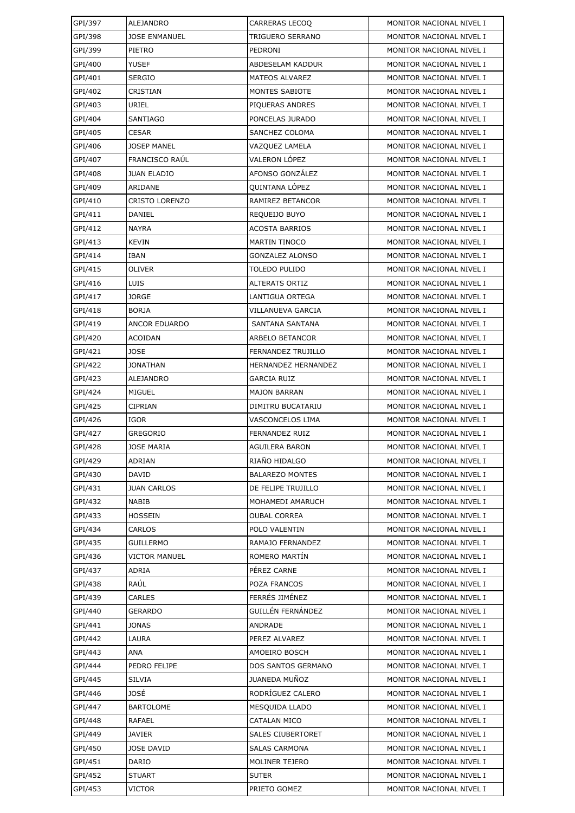| GPI/397 | ALEJANDRO             | <b>CARRERAS LECOQ</b>    | MONITOR NACIONAL NIVEL I |
|---------|-----------------------|--------------------------|--------------------------|
| GPI/398 | <b>JOSE ENMANUEL</b>  | TRIGUERO SERRANO         | MONITOR NACIONAL NIVEL I |
| GPI/399 | PIETRO                | PEDRONI                  | MONITOR NACIONAL NIVEL I |
| GPI/400 | YUSEF                 | ABDESELAM KADDUR         | MONITOR NACIONAL NIVEL I |
| GPI/401 | <b>SERGIO</b>         | MATEOS ALVAREZ           | MONITOR NACIONAL NIVEL I |
| GPI/402 | CRISTIAN              | MONTES SABIOTE           | MONITOR NACIONAL NIVEL I |
| GPI/403 | URIEL                 | PIQUERAS ANDRES          | MONITOR NACIONAL NIVEL I |
| GPI/404 | <b>SANTIAGO</b>       | PONCELAS JURADO          | MONITOR NACIONAL NIVEL I |
| GPI/405 | <b>CESAR</b>          | SANCHEZ COLOMA           | MONITOR NACIONAL NIVEL I |
| GPI/406 | <b>JOSEP MANEL</b>    | VAZQUEZ LAMELA           | MONITOR NACIONAL NIVEL I |
| GPI/407 | FRANCISCO RAÚL        | VALERON LÓPEZ            | MONITOR NACIONAL NIVEL I |
| GPI/408 | <b>JUAN ELADIO</b>    | AFONSO GONZÁLEZ          | MONITOR NACIONAL NIVEL I |
| GPI/409 | ARIDANE               | QUINTANA LÓPEZ           | MONITOR NACIONAL NIVEL I |
| GPI/410 | <b>CRISTO LORENZO</b> | RAMIREZ BETANCOR         | MONITOR NACIONAL NIVEL I |
| GPI/411 | DANIEL                | REQUEIJO BUYO            | MONITOR NACIONAL NIVEL I |
| GPI/412 | <b>NAYRA</b>          | <b>ACOSTA BARRIOS</b>    | MONITOR NACIONAL NIVEL I |
| GPI/413 | <b>KEVIN</b>          | <b>MARTIN TINOCO</b>     | MONITOR NACIONAL NIVEL I |
| GPI/414 | IBAN                  | GONZALEZ ALONSO          | MONITOR NACIONAL NIVEL I |
| GPI/415 | <b>OLIVER</b>         | TOLEDO PULIDO            | MONITOR NACIONAL NIVEL I |
| GPI/416 | LUIS                  | <b>ALTERATS ORTIZ</b>    | MONITOR NACIONAL NIVEL I |
| GPI/417 | <b>JORGE</b>          | LANTIGUA ORTEGA          | MONITOR NACIONAL NIVEL I |
| GPI/418 | <b>BORJA</b>          | VILLANUEVA GARCIA        | MONITOR NACIONAL NIVEL I |
| GPI/419 | <b>ANCOR EDUARDO</b>  | SANTANA SANTANA          | MONITOR NACIONAL NIVEL I |
| GPI/420 | <b>ACOIDAN</b>        | ARBELO BETANCOR          | MONITOR NACIONAL NIVEL I |
| GPI/421 | JOSE                  | FERNANDEZ TRUJILLO       | MONITOR NACIONAL NIVEL I |
| GPI/422 | <b>JONATHAN</b>       | HERNANDEZ HERNANDEZ      | MONITOR NACIONAL NIVEL I |
| GPI/423 | ALEJANDRO             | GARCIA RUIZ              | MONITOR NACIONAL NIVEL I |
| GPI/424 | <b>MIGUEL</b>         | <b>MAJON BARRAN</b>      | MONITOR NACIONAL NIVEL I |
| GPI/425 | <b>CIPRIAN</b>        | DIMITRU BUCATARIU        | MONITOR NACIONAL NIVEL I |
| GPI/426 | <b>IGOR</b>           | VASCONCELOS LIMA         | MONITOR NACIONAL NIVEL I |
| GPI/427 | <b>GREGORIO</b>       | FERNANDEZ RUIZ           | MONITOR NACIONAL NIVEL I |
| GPI/428 | <b>JOSE MARIA</b>     | AGUILERA BARON           | MONITOR NACIONAL NIVEL I |
| GPI/429 | ADRIAN                | RIAÑO HIDALGO            | MONITOR NACIONAL NIVEL I |
| GPI/430 | DAVID                 | <b>BALAREZO MONTES</b>   | MONITOR NACIONAL NIVEL I |
| GPI/431 | <b>JUAN CARLOS</b>    | DE FELIPE TRUJILLO       | MONITOR NACIONAL NIVEL I |
| GPI/432 | NABIB                 | MOHAMEDI AMARUCH         | MONITOR NACIONAL NIVEL I |
| GPI/433 | <b>HOSSEIN</b>        | <b>OUBAL CORREA</b>      | MONITOR NACIONAL NIVEL I |
| GPI/434 | <b>CARLOS</b>         | POLO VALENTIN            | MONITOR NACIONAL NIVEL I |
| GPI/435 | <b>GUILLERMO</b>      | RAMAJO FERNANDEZ         | MONITOR NACIONAL NIVEL I |
| GPI/436 | <b>VICTOR MANUEL</b>  | ROMERO MARTIN            | MONITOR NACIONAL NIVEL I |
| GPI/437 | ADRIA                 | PÉREZ CARNE              | MONITOR NACIONAL NIVEL I |
| GPI/438 | RAÚL                  | POZA FRANCOS             | MONITOR NACIONAL NIVEL I |
| GPI/439 | CARLES                | FERRÉS JIMÉNEZ           | MONITOR NACIONAL NIVEL I |
| GPI/440 | <b>GERARDO</b>        | GUILLÉN FERNÁNDEZ        | MONITOR NACIONAL NIVEL I |
| GPI/441 | <b>JONAS</b>          | ANDRADE                  | MONITOR NACIONAL NIVEL I |
| GPI/442 | LAURA                 | PEREZ ALVAREZ            | MONITOR NACIONAL NIVEL I |
| GPI/443 | ANA                   | AMOEIRO BOSCH            | MONITOR NACIONAL NIVEL I |
| GPI/444 | PEDRO FELIPE          | DOS SANTOS GERMANO       | MONITOR NACIONAL NIVEL I |
| GPI/445 | <b>SILVIA</b>         | <b>JUANEDA MUÑOZ</b>     | MONITOR NACIONAL NIVEL I |
| GPI/446 | JOSÉ                  | RODRÍGUEZ CALERO         | MONITOR NACIONAL NIVEL I |
| GPI/447 | <b>BARTOLOME</b>      | MESQUIDA LLADO           | MONITOR NACIONAL NIVEL I |
| GPI/448 | RAFAEL                | CATALAN MICO             | MONITOR NACIONAL NIVEL I |
| GPI/449 | JAVIER                | <b>SALES CIUBERTORET</b> | MONITOR NACIONAL NIVEL I |
| GPI/450 | <b>JOSE DAVID</b>     | SALAS CARMONA            | MONITOR NACIONAL NIVEL I |
| GPI/451 | DARIO                 | MOLINER TEJERO           | MONITOR NACIONAL NIVEL I |
| GPI/452 | <b>STUART</b>         | <b>SUTER</b>             | MONITOR NACIONAL NIVEL I |
| GPI/453 | VICTOR                | PRIETO GOMEZ             | MONITOR NACIONAL NIVEL I |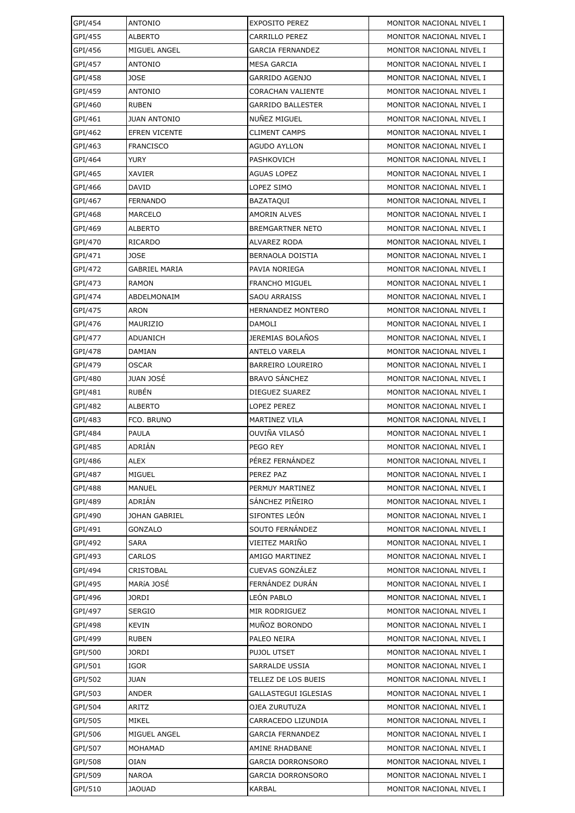| GPI/454            | <b>ANTONIO</b>                | <b>EXPOSITO PEREZ</b>    | MONITOR NACIONAL NIVEL I                             |
|--------------------|-------------------------------|--------------------------|------------------------------------------------------|
| GPI/455            | <b>ALBERTO</b>                | CARRILLO PEREZ           | MONITOR NACIONAL NIVEL I                             |
| GPI/456            | MIGUEL ANGEL                  | <b>GARCIA FERNANDEZ</b>  | MONITOR NACIONAL NIVEL I                             |
| GPI/457            | ANTONIO                       | <b>MESA GARCIA</b>       | MONITOR NACIONAL NIVEL I                             |
| GPI/458            | <b>JOSE</b>                   | GARRIDO AGENJO           | MONITOR NACIONAL NIVEL I                             |
| GPI/459            | <b>ANTONIO</b>                | CORACHAN VALIENTE        | MONITOR NACIONAL NIVEL I                             |
| GPI/460            | <b>RUBEN</b>                  | <b>GARRIDO BALLESTER</b> | MONITOR NACIONAL NIVEL I                             |
| GPI/461            | <b>JUAN ANTONIO</b>           | NUÑEZ MIGUEL             | MONITOR NACIONAL NIVEL I                             |
| GPI/462            | <b>EFREN VICENTE</b>          | <b>CLIMENT CAMPS</b>     | MONITOR NACIONAL NIVEL I                             |
| GPI/463            | <b>FRANCISCO</b>              | <b>AGUDO AYLLON</b>      | MONITOR NACIONAL NIVEL I                             |
| GPI/464            | YURY                          | PASHKOVICH               | MONITOR NACIONAL NIVEL I                             |
| GPI/465            | XAVIER                        | AGUAS LOPEZ              | MONITOR NACIONAL NIVEL I                             |
| GPI/466            | DAVID                         | LOPEZ SIMO               | MONITOR NACIONAL NIVEL I                             |
| GPI/467            | <b>FERNANDO</b>               | BAZATAQUI                | MONITOR NACIONAL NIVEL I                             |
| GPI/468            | MARCELO                       | AMORIN ALVES             | MONITOR NACIONAL NIVEL I                             |
| GPI/469            | <b>ALBERTO</b>                | <b>BREMGARTNER NETO</b>  | MONITOR NACIONAL NIVEL I                             |
| GPI/470            | <b>RICARDO</b>                | ALVAREZ RODA             | MONITOR NACIONAL NIVEL I                             |
| GPI/471            | <b>JOSE</b>                   | BERNAOLA DOISTIA         | MONITOR NACIONAL NIVEL I                             |
| GPI/472            | <b>GABRIEL MARIA</b>          | PAVIA NORIEGA            | MONITOR NACIONAL NIVEL I                             |
| GPI/473            | RAMON                         | <b>FRANCHO MIGUEL</b>    | MONITOR NACIONAL NIVEL I                             |
| GPI/474            | ABDELMONAIM                   | <b>SAOU ARRAISS</b>      | MONITOR NACIONAL NIVEL I                             |
| GPI/475            | ARON                          | HERNANDEZ MONTERO        | MONITOR NACIONAL NIVEL I                             |
| GPI/476            | MAURIZIO                      | DAMOLI                   | MONITOR NACIONAL NIVEL I                             |
| GPI/477            | ADUANICH                      | JEREMIAS BOLAÑOS         | MONITOR NACIONAL NIVEL I                             |
| GPI/478            | DAMIAN                        | <b>ANTELO VARELA</b>     | MONITOR NACIONAL NIVEL I                             |
| GPI/479            | <b>OSCAR</b>                  | <b>BARREIRO LOUREIRO</b> | MONITOR NACIONAL NIVEL I                             |
| GPI/480            | <b>JUAN JOSÉ</b>              | <b>BRAVO SÁNCHEZ</b>     | MONITOR NACIONAL NIVEL I                             |
| GPI/481            | <b>RUBÉN</b>                  | DIEGUEZ SUAREZ           | MONITOR NACIONAL NIVEL I                             |
| GPI/482            | <b>ALBERTO</b>                | LOPEZ PEREZ              | MONITOR NACIONAL NIVEL I                             |
| GPI/483            | FCO. BRUNO                    | MARTINEZ VILA            | MONITOR NACIONAL NIVEL I                             |
| GPI/484            | PAULA                         | OUVIÑA VILASÓ            | MONITOR NACIONAL NIVEL I                             |
| GPI/485            | ADRIAN                        | PEGO REY                 | MONITOR NACIONAL NIVEL I                             |
| GPI/486            | ALEX                          | PÉREZ FERNÁNDEZ          | MONITOR NACIONAL NIVEL I                             |
| GPI/487            | <b>MIGUEL</b>                 | PEREZ PAZ                | MONITOR NACIONAL NIVEL I                             |
| GPI/488            | <b>MANUEL</b>                 | PERMUY MARTINEZ          | MONITOR NACIONAL NIVEL I                             |
| GPI/489            | ADRIÁN                        | SÁNCHEZ PIÑEIRO          | MONITOR NACIONAL NIVEL I                             |
| GPI/490            | JOHAN GABRIEL                 | SIFONTES LEÓN            | MONITOR NACIONAL NIVEL I                             |
| GPI/491            | <b>GONZALO</b>                | SOUTO FERNÁNDEZ          | MONITOR NACIONAL NIVEL I                             |
| GPI/492            | <b>SARA</b>                   | VIEITEZ MARIÑO           | MONITOR NACIONAL NIVEL I                             |
| GPI/493            | CARLOS                        | AMIGO MARTINEZ           | MONITOR NACIONAL NIVEL I                             |
| GPI/494            | <b>CRISTOBAL</b>              | CUEVAS GONZÁLEZ          | MONITOR NACIONAL NIVEL I                             |
| GPI/495            | MARÍA JOSÉ                    | FERNÁNDEZ DURÁN          | MONITOR NACIONAL NIVEL I                             |
| GPI/496            | JORDI                         | LEÓN PABLO               | MONITOR NACIONAL NIVEL I                             |
| GPI/497            | <b>SERGIO</b>                 | MIR RODRIGUEZ            | MONITOR NACIONAL NIVEL I                             |
| GPI/498            | KEVIN                         | MUÑOZ BORONDO            | MONITOR NACIONAL NIVEL I                             |
| GPI/499            | <b>RUBEN</b>                  | PALEO NEIRA              | MONITOR NACIONAL NIVEL I                             |
| GPI/500            | JORDI                         | PUJOL UTSET              | MONITOR NACIONAL NIVEL I                             |
| GPI/501            | <b>IGOR</b>                   | SARRALDE USSIA           | MONITOR NACIONAL NIVEL I                             |
| GPI/502            | JUAN                          | TELLEZ DE LOS BUEIS      | MONITOR NACIONAL NIVEL I                             |
| GPI/503            | ANDER                         | GALLASTEGUI IGLESIAS     | MONITOR NACIONAL NIVEL I                             |
| GPI/504            | ARITZ                         | OJEA ZURUTUZA            | MONITOR NACIONAL NIVEL I                             |
| GPI/505            | MIKEL                         | CARRACEDO LIZUNDIA       | MONITOR NACIONAL NIVEL I                             |
| GPI/506            | MIGUEL ANGEL                  | <b>GARCIA FERNANDEZ</b>  | MONITOR NACIONAL NIVEL I                             |
| GPI/507            | MOHAMAD                       | AMINE RHADBANE           | MONITOR NACIONAL NIVEL I                             |
| GPI/508            | <b>OIAN</b>                   | GARCIA DORRONSORO        | MONITOR NACIONAL NIVEL I<br>MONITOR NACIONAL NIVEL I |
| GPI/509<br>GPI/510 | <b>NAROA</b><br><b>JAOUAD</b> | <b>GARCIA DORRONSORO</b> |                                                      |
|                    |                               | KARBAL                   | MONITOR NACIONAL NIVEL I                             |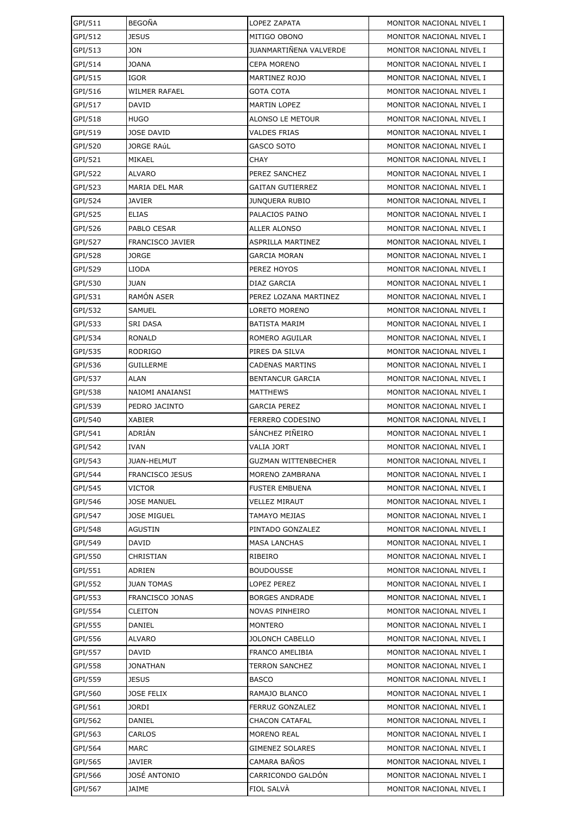| GPI/511 | <b>BEGOÑA</b>           | LOPEZ ZAPATA               | MONITOR NACIONAL NIVEL I |
|---------|-------------------------|----------------------------|--------------------------|
| GPI/512 | <b>JESUS</b>            | MITIGO OBONO               | MONITOR NACIONAL NIVEL I |
| GPI/513 | <b>JON</b>              | JUANMARTIÑENA VALVERDE     | MONITOR NACIONAL NIVEL I |
| GPI/514 | <b>JOANA</b>            | CEPA MORENO                | MONITOR NACIONAL NIVEL I |
| GPI/515 | IGOR                    | MARTINEZ ROJO              | MONITOR NACIONAL NIVEL I |
| GPI/516 | <b>WILMER RAFAEL</b>    | <b>GOTA COTA</b>           | MONITOR NACIONAL NIVEL I |
| GPI/517 | DAVID                   | <b>MARTIN LOPEZ</b>        | MONITOR NACIONAL NIVEL I |
| GPI/518 | <b>HUGO</b>             | ALONSO LE METOUR           | MONITOR NACIONAL NIVEL I |
| GPI/519 | <b>JOSE DAVID</b>       | <b>VALDES FRIAS</b>        | MONITOR NACIONAL NIVEL I |
| GPI/520 | <b>JORGE RAÚL</b>       | GASCO SOTO                 | MONITOR NACIONAL NIVEL I |
| GPI/521 | MIKAEL                  | <b>CHAY</b>                | MONITOR NACIONAL NIVEL I |
| GPI/522 | <b>ALVARO</b>           | PEREZ SANCHEZ              | MONITOR NACIONAL NIVEL I |
| GPI/523 | MARIA DEL MAR           | <b>GAITAN GUTIERREZ</b>    | MONITOR NACIONAL NIVEL I |
| GPI/524 | <b>JAVIER</b>           | <b>JUNQUERA RUBIO</b>      | MONITOR NACIONAL NIVEL I |
| GPI/525 | <b>ELIAS</b>            | PALACIOS PAINO             | MONITOR NACIONAL NIVEL I |
| GPI/526 | PABLO CESAR             | <b>ALLER ALONSO</b>        | MONITOR NACIONAL NIVEL I |
| GPI/527 | <b>FRANCISCO JAVIER</b> | ASPRILLA MARTINEZ          | MONITOR NACIONAL NIVEL I |
| GPI/528 | JORGE                   | GARCIA MORAN               | MONITOR NACIONAL NIVEL I |
| GPI/529 | <b>LIODA</b>            | PEREZ HOYOS                | MONITOR NACIONAL NIVEL I |
| GPI/530 | <b>JUAN</b>             | DIAZ GARCIA                | MONITOR NACIONAL NIVEL I |
| GPI/531 | RAMÓN ASER              | PEREZ LOZANA MARTINEZ      | MONITOR NACIONAL NIVEL I |
| GPI/532 | SAMUEL                  | LORETO MORENO              | MONITOR NACIONAL NIVEL I |
| GPI/533 | SRI DASA                | <b>BATISTA MARIM</b>       | MONITOR NACIONAL NIVEL I |
| GPI/534 | <b>RONALD</b>           | ROMERO AGUILAR             | MONITOR NACIONAL NIVEL I |
| GPI/535 | <b>RODRIGO</b>          | PIRES DA SILVA             | MONITOR NACIONAL NIVEL I |
| GPI/536 | <b>GUILLERME</b>        | CADENAS MARTINS            | MONITOR NACIONAL NIVEL I |
| GPI/537 | <b>ALAN</b>             | <b>BENTANCUR GARCIA</b>    | MONITOR NACIONAL NIVEL I |
| GPI/538 | NAIOMI ANAIANSI         | MATTHEWS                   | MONITOR NACIONAL NIVEL I |
| GPI/539 | PEDRO JACINTO           | GARCIA PEREZ               | MONITOR NACIONAL NIVEL I |
| GPI/540 | <b>XABIER</b>           | FERRERO CODESINO           | MONITOR NACIONAL NIVEL I |
| GPI/541 | ADRIÁN                  | SÁNCHEZ PIÑEIRO            | MONITOR NACIONAL NIVEL I |
| GPI/542 | <b>IVAN</b>             | <b>VALIA JORT</b>          | MONITOR NACIONAL NIVEL I |
| GPI/543 | <b>JUAN-HELMUT</b>      | <b>GUZMAN WITTENBECHER</b> | MONITOR NACIONAL NIVEL I |
| GPI/544 | <b>FRANCISCO JESUS</b>  | MORENO ZAMBRANA            | MONITOR NACIONAL NIVEL I |
| GPI/545 | VICTOR                  | <b>FUSTER EMBUENA</b>      | MONITOR NACIONAL NIVEL I |
| GPI/546 | <b>JOSE MANUEL</b>      | VELLEZ MIRAUT              | MONITOR NACIONAL NIVEL I |
| GPI/547 | <b>JOSE MIGUEL</b>      | TAMAYO MEJIAS              | MONITOR NACIONAL NIVEL I |
| GPI/548 | AGUSTIN                 | PINTADO GONZALEZ           | MONITOR NACIONAL NIVEL I |
| GPI/549 | <b>DAVID</b>            | <b>MASA LANCHAS</b>        | MONITOR NACIONAL NIVEL I |
| GPI/550 | CHRISTIAN               | RIBEIRO                    | MONITOR NACIONAL NIVEL I |
| GPI/551 | <b>ADRIEN</b>           | <b>BOUDOUSSE</b>           | MONITOR NACIONAL NIVEL I |
| GPI/552 | <b>JUAN TOMAS</b>       | LOPEZ PEREZ                | MONITOR NACIONAL NIVEL I |
| GPI/553 | FRANCISCO JONAS         | <b>BORGES ANDRADE</b>      | MONITOR NACIONAL NIVEL I |
| GPI/554 | <b>CLEITON</b>          | NOVAS PINHEIRO             | MONITOR NACIONAL NIVEL I |
| GPI/555 | DANIEL                  | MONTERO                    | MONITOR NACIONAL NIVEL I |
| GPI/556 | ALVARO                  | <b>JOLONCH CABELLO</b>     | MONITOR NACIONAL NIVEL I |
| GPI/557 | DAVID                   | FRANCO AMELIBIA            | MONITOR NACIONAL NIVEL I |
| GPI/558 | <b>JONATHAN</b>         | <b>TERRON SANCHEZ</b>      | MONITOR NACIONAL NIVEL I |
| GPI/559 | <b>JESUS</b>            | <b>BASCO</b>               | MONITOR NACIONAL NIVEL I |
| GPI/560 | <b>JOSE FELIX</b>       | RAMAJO BLANCO              | MONITOR NACIONAL NIVEL I |
| GPI/561 | JORDI                   | FERRUZ GONZALEZ            | MONITOR NACIONAL NIVEL I |
| GPI/562 | DANIEL                  | <b>CHACON CATAFAL</b>      | MONITOR NACIONAL NIVEL I |
| GPI/563 | CARLOS                  | <b>MORENO REAL</b>         | MONITOR NACIONAL NIVEL I |
| GPI/564 | MARC                    | GIMENEZ SOLARES            | MONITOR NACIONAL NIVEL I |
| GPI/565 | <b>JAVIER</b>           | CAMARA BAÑOS               | MONITOR NACIONAL NIVEL I |
| GPI/566 | JOSÉ ANTONIO            | CARRICONDO GALDÓN          | MONITOR NACIONAL NIVEL I |
| GPI/567 | JAIME                   | FIOL SALVA                 | MONITOR NACIONAL NIVEL I |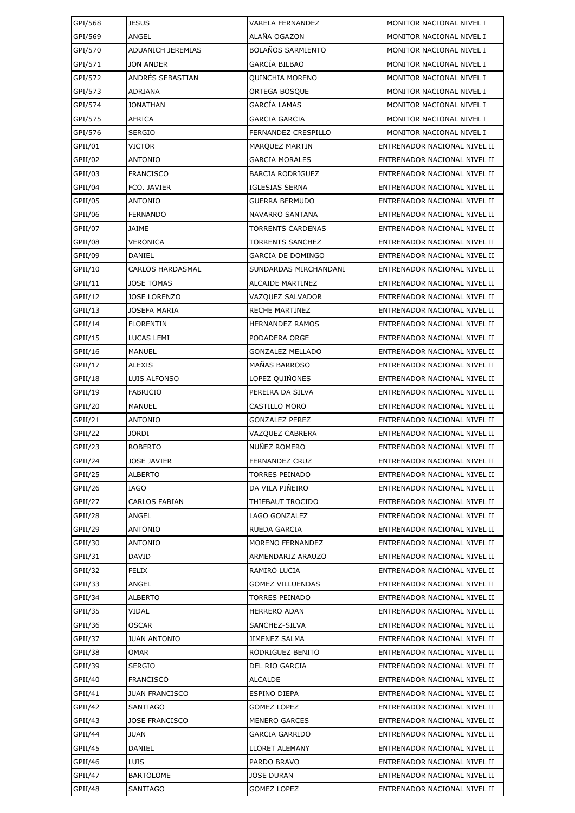| GPI/568 | <b>JESUS</b>             | <b>VARELA FERNANDEZ</b>  | MONITOR NACIONAL NIVEL I     |
|---------|--------------------------|--------------------------|------------------------------|
| GPI/569 | ANGEL                    | ALAÑA OGAZON             | MONITOR NACIONAL NIVEL I     |
| GPI/570 | <b>ADUANICH JEREMIAS</b> | <b>BOLAÑOS SARMIENTO</b> | MONITOR NACIONAL NIVEL I     |
| GPI/571 | JON ANDER                | <b>GARCÍA BILBAO</b>     | MONITOR NACIONAL NIVEL I     |
| GPI/572 | ANDRÉS SEBASTIAN         | <b>QUINCHIA MORENO</b>   | MONITOR NACIONAL NIVEL I     |
| GPI/573 | ADRIANA                  | ORTEGA BOSQUE            | MONITOR NACIONAL NIVEL I     |
| GPI/574 | JONATHAN                 | GARCÍA LAMAS             | MONITOR NACIONAL NIVEL I     |
| GPI/575 | <b>AFRICA</b>            | <b>GARCIA GARCIA</b>     | MONITOR NACIONAL NIVEL I     |
| GPI/576 | <b>SERGIO</b>            | FERNANDEZ CRESPILLO      | MONITOR NACIONAL NIVEL I     |
| GPII/01 | VICTOR                   | MARQUEZ MARTIN           | ENTRENADOR NACIONAL NIVEL II |
| GPII/02 | <b>ANTONIO</b>           | <b>GARCIA MORALES</b>    | ENTRENADOR NACIONAL NIVEL II |
| GPII/03 | <b>FRANCISCO</b>         | <b>BARCIA RODRIGUEZ</b>  | ENTRENADOR NACIONAL NIVEL II |
| GPII/04 | FCO. JAVIER              | <b>IGLESIAS SERNA</b>    | ENTRENADOR NACIONAL NIVEL II |
| GPII/05 | <b>ANTONIO</b>           | <b>GUERRA BERMUDO</b>    | ENTRENADOR NACIONAL NIVEL II |
| GPII/06 | <b>FERNANDO</b>          | NAVARRO SANTANA          | ENTRENADOR NACIONAL NIVEL II |
| GPII/07 | <b>JAIME</b>             | <b>TORRENTS CARDENAS</b> | ENTRENADOR NACIONAL NIVEL II |
| GPII/08 | VERONICA                 | <b>TORRENTS SANCHEZ</b>  | ENTRENADOR NACIONAL NIVEL II |
| GPII/09 | DANIEL                   | GARCIA DE DOMINGO        | ENTRENADOR NACIONAL NIVEL II |
| GFII/10 | <b>CARLOS HARDASMAL</b>  | SUNDARDAS MIRCHANDANI    | ENTRENADOR NACIONAL NIVEL II |
| GPII/11 | <b>JOSE TOMAS</b>        | <b>ALCAIDE MARTINEZ</b>  | ENTRENADOR NACIONAL NIVEL II |
| GPII/12 | <b>JOSE LORENZO</b>      | VAZQUEZ SALVADOR         | ENTRENADOR NACIONAL NIVEL II |
| GPII/13 | <b>JOSEFA MARIA</b>      | <b>RECHE MARTINEZ</b>    | ENTRENADOR NACIONAL NIVEL II |
| GPII/14 | <b>FLORENTIN</b>         | <b>HERNANDEZ RAMOS</b>   | ENTRENADOR NACIONAL NIVEL II |
| GPII/15 | LUCAS LEMI               | PODADERA ORGE            | ENTRENADOR NACIONAL NIVEL II |
| GPII/16 | MANUEL                   | <b>GONZALEZ MELLADO</b>  | ENTRENADOR NACIONAL NIVEL II |
| GPII/17 | <b>ALEXIS</b>            | MAÑAS BARROSO            | ENTRENADOR NACIONAL NIVEL II |
| GPII/18 | LUIS ALFONSO             | LOPEZ QUIÑONES           | ENTRENADOR NACIONAL NIVEL II |
| GPII/19 | <b>FABRICIO</b>          | PEREIRA DA SILVA         | ENTRENADOR NACIONAL NIVEL II |
| GPII/20 | MANUEL                   | CASTILLO MORO            | ENTRENADOR NACIONAL NIVEL II |
| GPII/21 | <b>ANTONIO</b>           | <b>GONZALEZ PEREZ</b>    | ENTRENADOR NACIONAL NIVEL II |
| GPII/22 | <b>JORDI</b>             | VAZQUEZ CABRERA          | ENTRENADOR NACIONAL NIVEL II |
| GPII/23 | <b>ROBERTO</b>           | NUÑEZ ROMERO             | ENTRENADOR NACIONAL NIVEL II |
| GPII/24 | <b>JOSE JAVIER</b>       | FERNANDEZ CRUZ           | ENTRENADOR NACIONAL NIVEL II |
| GPII/25 | ALBERTO                  | <b>TORRES PEINADO</b>    | ENTRENADOR NACIONAL NIVEL II |
| GPII/26 | IAGO                     | DA VILA PIÑEIRO          | ENTRENADOR NACIONAL NIVEL II |
| GPII/27 | CARLOS FABIAN            | THIEBAUT TROCIDO         | ENTRENADOR NACIONAL NIVEL II |
| GPII/28 | ANGEL                    | LAGO GONZALEZ            | ENTRENADOR NACIONAL NIVEL II |
| GPII/29 | <b>ANTONIO</b>           | <b>RUEDA GARCIA</b>      | ENTRENADOR NACIONAL NIVEL II |
| GPII/30 | ANTONIO                  | MORENO FERNANDEZ         | ENTRENADOR NACIONAL NIVEL II |
| GPII/31 | DAVID                    | ARMENDARIZ ARAUZO        | ENTRENADOR NACIONAL NIVEL II |
| GPII/32 | FELIX                    | RAMIRO LUCIA             | ENTRENADOR NACIONAL NIVEL II |
| GPII/33 | ANGEL                    | <b>GOMEZ VILLUENDAS</b>  | ENTRENADOR NACIONAL NIVEL II |
| GPII/34 | ALBERTO                  | TORRES PEINADO           | ENTRENADOR NACIONAL NIVEL II |
| GPII/35 | VIDAL                    | <b>HERRERO ADAN</b>      | ENTRENADOR NACIONAL NIVEL II |
| GPII/36 | OSCAR                    | SANCHEZ-SILVA            | ENTRENADOR NACIONAL NIVEL II |
| GPII/37 | <b>JUAN ANTONIO</b>      | JIMENEZ SALMA            | ENTRENADOR NACIONAL NIVEL II |
| GPII/38 | OMAR                     | RODRIGUEZ BENITO         | ENTRENADOR NACIONAL NIVEL II |
| GPII/39 | <b>SERGIO</b>            | DEL RIO GARCIA           | ENTRENADOR NACIONAL NIVEL II |
| GPII/40 | <b>FRANCISCO</b>         | ALCALDE                  | ENTRENADOR NACIONAL NIVEL II |
| GPII/41 | <b>JUAN FRANCISCO</b>    | ESPINO DIEPA             | ENTRENADOR NACIONAL NIVEL II |
| GPII/42 | SANTIAGO                 | <b>GOMEZ LOPEZ</b>       | ENTRENADOR NACIONAL NIVEL II |
| GPII/43 | <b>JOSE FRANCISCO</b>    | <b>MENERO GARCES</b>     | ENTRENADOR NACIONAL NIVEL II |
| GPII/44 | JUAN                     | <b>GARCIA GARRIDO</b>    | ENTRENADOR NACIONAL NIVEL II |
| GPII/45 | DANIEL                   | LLORET ALEMANY           | ENTRENADOR NACIONAL NIVEL II |
| GPII/46 | LUIS                     | PARDO BRAVO              | ENTRENADOR NACIONAL NIVEL II |
| GPII/47 | <b>BARTOLOME</b>         | <b>JOSE DURAN</b>        | ENTRENADOR NACIONAL NIVEL II |
| GPII/48 | SANTIAGO                 | <b>GOMEZ LOPEZ</b>       | ENTRENADOR NACIONAL NIVEL II |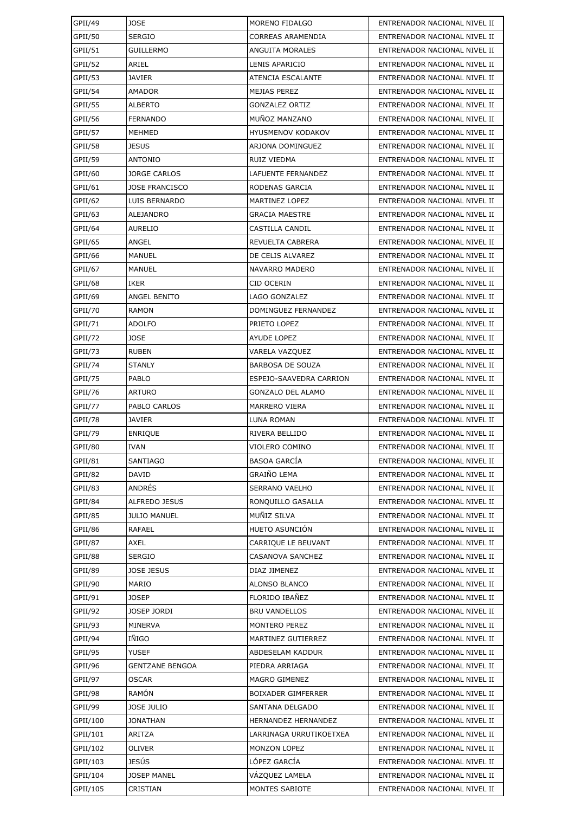| GPII/49  | <b>JOSE</b>            | MORENO FIDALGO            | ENTRENADOR NACIONAL NIVEL II |
|----------|------------------------|---------------------------|------------------------------|
| GPII/50  | <b>SERGIO</b>          | CORREAS ARAMENDIA         | ENTRENADOR NACIONAL NIVEL II |
| GPII/51  | <b>GUILLERMO</b>       | ANGUITA MORALES           | ENTRENADOR NACIONAL NIVEL II |
| GPII/52  | ARIEL                  | LENIS APARICIO            | ENTRENADOR NACIONAL NIVEL II |
| GPII/53  | <b>JAVIER</b>          | ATENCIA ESCALANTE         | ENTRENADOR NACIONAL NIVEL II |
| GPII/54  | AMADOR                 | MEJIAS PEREZ              | ENTRENADOR NACIONAL NIVEL II |
| GPII/55  | <b>ALBERTO</b>         | <b>GONZALEZ ORTIZ</b>     | ENTRENADOR NACIONAL NIVEL II |
| GPII/56  | <b>FERNANDO</b>        | MUÑOZ MANZANO             | ENTRENADOR NACIONAL NIVEL II |
| GPII/57  | MEHMED                 | HYUSMENOV KODAKOV         | ENTRENADOR NACIONAL NIVEL II |
| GPII/58  | <b>JESUS</b>           | ARJONA DOMINGUEZ          | ENTRENADOR NACIONAL NIVEL II |
| GPII/59  | <b>ANTONIO</b>         | RUIZ VIEDMA               | ENTRENADOR NACIONAL NIVEL II |
| GPII/60  | <b>JORGE CARLOS</b>    | LAFUENTE FERNANDEZ        | ENTRENADOR NACIONAL NIVEL II |
| GPII/61  | <b>JOSE FRANCISCO</b>  | RODENAS GARCIA            | ENTRENADOR NACIONAL NIVEL II |
| GPII/62  | LUIS BERNARDO          | MARTINEZ LOPEZ            | ENTRENADOR NACIONAL NIVEL II |
| GPII/63  | ALEJANDRO              | <b>GRACIA MAESTRE</b>     | ENTRENADOR NACIONAL NIVEL II |
| GPII/64  | <b>AURELIO</b>         | CASTILLA CANDIL           | ENTRENADOR NACIONAL NIVEL II |
| GPII/65  | ANGEL                  | REVUELTA CABRERA          | ENTRENADOR NACIONAL NIVEL II |
| GPII/66  | MANUEL                 | DE CELIS ALVAREZ          | ENTRENADOR NACIONAL NIVEL II |
| GPII/67  | <b>MANUEL</b>          | NAVARRO MADERO            | ENTRENADOR NACIONAL NIVEL II |
| GPII/68  | IKER                   | CID OCERIN                | ENTRENADOR NACIONAL NIVEL II |
| GPII/69  | ANGEL BENITO           | LAGO GONZALEZ             | ENTRENADOR NACIONAL NIVEL II |
| GPII/70  | <b>RAMON</b>           | DOMINGUEZ FERNANDEZ       | ENTRENADOR NACIONAL NIVEL II |
| GPII/71  | <b>ADOLFO</b>          | PRIETO LOPEZ              | ENTRENADOR NACIONAL NIVEL II |
| GPII/72  | JOSE                   | AYUDE LOPEZ               | ENTRENADOR NACIONAL NIVEL II |
| GPII/73  | <b>RUBEN</b>           | VARELA VAZQUEZ            | ENTRENADOR NACIONAL NIVEL II |
| GPII/74  | <b>STANLY</b>          | <b>BARBOSA DE SOUZA</b>   | ENTRENADOR NACIONAL NIVEL II |
| GPII/75  | PABLO                  | ESPEJO-SAAVEDRA CARRION   | ENTRENADOR NACIONAL NIVEL II |
| GPII/76  | <b>ARTURO</b>          | <b>GONZALO DEL ALAMO</b>  | ENTRENADOR NACIONAL NIVEL II |
| GPII/77  | PABLO CARLOS           | MARRERO VIERA             | ENTRENADOR NACIONAL NIVEL II |
| GPII/78  | <b>JAVIER</b>          | LUNA ROMAN                | ENTRENADOR NACIONAL NIVEL II |
| GPII/79  | <b>ENRIQUE</b>         | RIVERA BELLIDO            | ENTRENADOR NACIONAL NIVEL II |
| GPII/80  | <b>IVAN</b>            | VIOLERO COMINO            | ENTRENADOR NACIONAL NIVEL II |
| GPII/81  | SANTIAGO               | <b>BASOA GARCÍA</b>       | ENTRENADOR NACIONAL NIVEL II |
| GPII/82  | <b>DAVID</b>           | GRAIÑO LEMA               | ENTRENADOR NACIONAL NIVEL II |
| GPII/83  | ANDRÉS                 | SERRANO VAELHO            | ENTRENADOR NACIONAL NIVEL II |
| GPII/84  | <b>ALFREDO JESUS</b>   | RONQUILLO GASALLA         | ENTRENADOR NACIONAL NIVEL II |
| GPII/85  | <b>JULIO MANUEL</b>    | MUÑIZ SILVA               | ENTRENADOR NACIONAL NIVEL II |
| GPII/86  | RAFAEL                 | HUETO ASUNCIÓN            | ENTRENADOR NACIONAL NIVEL II |
| GPII/87  | AXEL                   | CARRIQUE LE BEUVANT       | ENTRENADOR NACIONAL NIVEL II |
| GPII/88  | SERGIO                 | CASANOVA SANCHEZ          | ENTRENADOR NACIONAL NIVEL II |
| GPII/89  | <b>JOSE JESUS</b>      | DIAZ JIMENEZ              | ENTRENADOR NACIONAL NIVEL II |
| GPII/90  | MARIO                  | ALONSO BLANCO             | ENTRENADOR NACIONAL NIVEL II |
| GPII/91  | <b>JOSEP</b>           | FLORIDO IBAÑEZ            | ENTRENADOR NACIONAL NIVEL II |
| GPII/92  | JOSEP JORDI            | <b>BRU VANDELLOS</b>      | ENTRENADOR NACIONAL NIVEL II |
| GPII/93  | MINERVA                | MONTERO PEREZ             | ENTRENADOR NACIONAL NIVEL II |
| GPII/94  | IÑIGO                  | MARTINEZ GUTIERREZ        | ENTRENADOR NACIONAL NIVEL II |
| GPII/95  | <b>YUSEF</b>           | ABDESELAM KADDUR          | ENTRENADOR NACIONAL NIVEL II |
| GPII/96  | <b>GENTZANE BENGOA</b> | PIEDRA ARRIAGA            | ENTRENADOR NACIONAL NIVEL II |
| GPII/97  | OSCAR                  | MAGRO GIMENEZ             | ENTRENADOR NACIONAL NIVEL II |
| GPII/98  | RAMÓN                  | <b>BOIXADER GIMFERRER</b> | ENTRENADOR NACIONAL NIVEL II |
| GPII/99  | JOSE JULIO             | SANTANA DELGADO           | ENTRENADOR NACIONAL NIVEL II |
| GPII/100 | <b>JONATHAN</b>        | HERNANDEZ HERNANDEZ       | ENTRENADOR NACIONAL NIVEL II |
| GPII/101 | ARITZA                 | LARRINAGA URRUTIKOETXEA   | ENTRENADOR NACIONAL NIVEL II |
| GPII/102 | OLIVER                 | MONZON LOPEZ              | ENTRENADOR NACIONAL NIVEL II |
| GPII/103 | JESÚS                  | LÓPEZ GARCÍA              | ENTRENADOR NACIONAL NIVEL II |
| GPII/104 | <b>JOSEP MANEL</b>     | VÁZQUEZ LAMELA            | ENTRENADOR NACIONAL NIVEL II |
| GPII/105 | CRISTIAN               | MONTES SABIOTE            | ENTRENADOR NACIONAL NIVEL II |